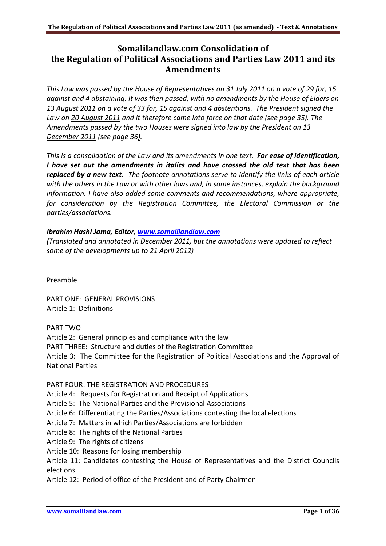# **Somalilandlaw.com Consolidation of the Regulation of Political Associations and Parties Law 2011 and its Amendments**

*This Law was passed by the House of Representatives on 31 July 2011 on a vote of 29 for, 15 against and 4 abstaining. It was then passed, with no amendments by the House of Elders on 13 August 2011 on a vote of 33 for, 15 against and 4 abstentions. The President signed the Law on 20 August 2011 and it therefore came into force on that date (see page 35). The Amendments passed by the two Houses were signed into law by the President on 13 December 2011 (see page 36).* 

*This is a consolidation of the Law and its amendments in one text. For ease of identification, I have set out the amendments in italics and have crossed the old text that has been replaced by a new text. The footnote annotations serve to identify the links of each article with the others in the Law or with other laws and, in some instances, explain the background information. I have also added some comments and recommendations, where appropriate, for consideration by the Registration Committee, the Electoral Commission or the parties/associations.* 

# *Ibrahim Hashi Jama, Editor, [www.somalilandlaw.com](http://www.somalilandlaw.com/)*

*(Translated and annotated in December 2011, but the annotations were updated to reflect some of the developments up to 21 April 2012)* 

Preamble

PART ONE: GENERAL PROVISIONS Article 1: Definitions

PART TWO

Article 2: General principles and compliance with the law PART THREE: Structure and duties of the Registration Committee Article 3: The Committee for the Registration of Political Associations and the Approval of National Parties

PART FOUR: THE REGISTRATION AND PROCEDURES

Article 4: Requests for Registration and Receipt of Applications

Article 5: The National Parties and the Provisional Associations

Article 6: Differentiating the Parties/Associations contesting the local elections

Article 7: Matters in which Parties/Associations are forbidden

Article 8: The rights of the National Parties

Article 9: The rights of citizens

Article 10: Reasons for losing membership

Article 11: Candidates contesting the House of Representatives and the District Councils elections

Article 12: Period of office of the President and of Party Chairmen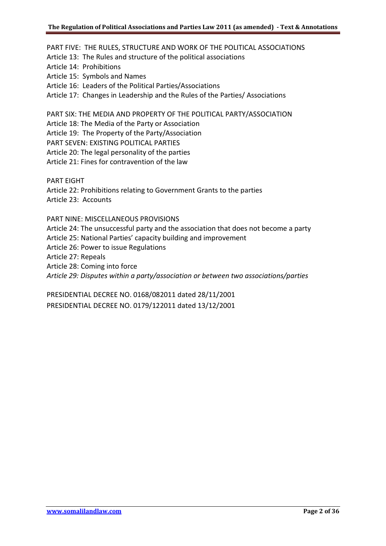PART FIVE: THE RULES, STRUCTURE AND WORK OF THE POLITICAL ASSOCIATIONS Article 13: The Rules and structure of the political associations Article 14: Prohibitions Article 15: Symbols and Names Article 16: Leaders of the Political Parties/Associations Article 17: Changes in Leadership and the Rules of the Parties/ Associations PART SIX: THE MEDIA AND PROPERTY OF THE POLITICAL PARTY/ASSOCIATION Article 18: The Media of the Party or Association Article 19: The Property of the Party/Association PART SEVEN: EXISTING POLITICAL PARTIES Article 20: The legal personality of the parties Article 21: Fines for contravention of the law PART EIGHT Article 22: Prohibitions relating to Government Grants to the parties Article 23: Accounts PART NINE: MISCELLANEOUS PROVISIONS Article 24: The unsuccessful party and the association that does not become a party Article 25: National Parties' capacity building and improvement Article 26: Power to issue Regulations Article 27: Repeals

Article 28: Coming into force

*Article 29: Disputes within a party/association or between two associations/parties*

PRESIDENTIAL DECREE NO. 0168/082011 dated 28/11/2001 PRESIDENTIAL DECREE NO. 0179/122011 dated 13/12/2001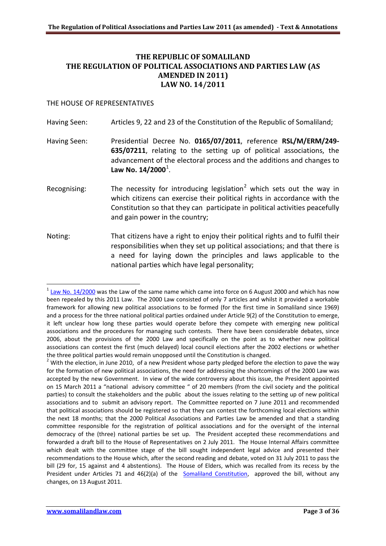# **THE REPUBLIC OF SOMALILAND THE REGULATION OF POLITICAL ASSOCIATIONS AND PARTIES LAW (AS AMENDED IN 2011) LAW NO. 14/2011**

#### THE HOUSE OF REPRESENTATIVES

Having Seen: Articles 9, 22 and 23 of the Constitution of the Republic of Somaliland;

- Having Seen: Presidential Decree No. **0165/07/2011**, reference **RSL/M/ERM/249- 635/07211**, relating to the setting up of political associations, the advancement of the electoral process and the additions and changes to Law No. [1](#page-2-0)4/2000<sup>1</sup>.
- Recognising: The necessity for introducing legislation<sup>[2](#page-2-1)</sup> which sets out the way in which citizens can exercise their political rights in accordance with the Constitution so that they can participate in political activities peacefully and gain power in the country;
- Noting: That citizens have a right to enjoy their political rights and to fulfil their responsibilities when they set up political associations; and that there is a need for laying down the principles and laws applicable to the national parties which have legal personality;

<span id="page-2-0"></span><sup>.</sup>  $1$  [Law No. 14/2000](http://www.somalilandlaw.com/xeerka_xisbiyadda.htm) was the Law of the same name which came into force on 6 August 2000 and which has now been repealed by this 2011 Law. The 2000 Law consisted of only 7 articles and whilst it provided a workable framework for allowing new political associations to be formed (for the first time in Somaliland since 1969) and a process for the three national political parties ordained under Article 9(2) of the Constitution to emerge, it left unclear how long these parties would operate before they compete with emerging new political associations and the procedures for managing such contests. There have been considerable debates, since 2006, about the provisions of the 2000 Law and specifically on the point as to whether new political associations can contest the first (much delayed) local council elections after the 2002 elections or whether the three political parties would remain unopposed until the Constitution is changed.

<span id="page-2-1"></span> $2$  With the election, in June 2010, of a new President whose party pledged before the election to pave the way for the formation of new political associations, the need for addressing the shortcomings of the 2000 Law was accepted by the new Government. In view of the wide controversy about this issue, the President appointed on 15 March 2011 a "national advisory committee " of 20 members (from the civil society and the political parties) to consult the stakeholders and the public about the issues relating to the setting up of new political associations and to submit an advisory report. The Committee reported on 7 June 2011 and recommended that political associations should be registered so that they can contest the forthcoming local elections within the next 18 months; that the 2000 Political Associations and Parties Law be amended and that a standing committee responsible for the registration of political associations and for the oversight of the internal democracy of the (three) national parties be set up. The President accepted these recommendations and forwarded a draft bill to the House of Representatives on 2 July 2011. The House Internal Affairs committee which dealt with the committee stage of the bill sought independent legal advice and presented their recommendations to the House which, after the second reading and debate, voted on 31 July 2011 to pass the bill (29 for, 15 against and 4 abstentions). The House of Elders, which was recalled from its recess by the President under Articles 71 and 46(2)(a) of the [Somaliland Constitution,](http://www.somalilandlaw.com/somaliland_constitution.htm) approved the bill, without any changes, on 13 August 2011.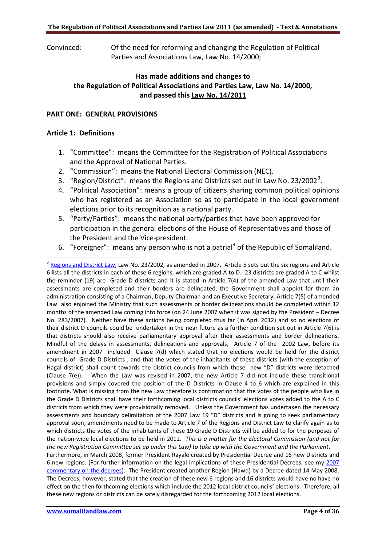Convinced: Of the need for reforming and changing the Regulation of Political Parties and Associations Law, Law No. 14/2000;

# **Has made additions and changes to the Regulation of Political Associations and Parties Law, Law No. 14/2000, and passed this Law No. 14/2011**

#### **PART ONE: GENERAL PROVISIONS**

#### **Article 1: Definitions**

.

- 1. "Committee": means the Committee for the Registration of Political Associations and the Approval of National Parties.
- 2. "Commission": means the National Electoral Commission (NEC).
- [3](#page-3-0). "Region/District": means the Regions and Districts set out in Law No. 23/2002<sup>3</sup>.
- 4. "Political Association": means a group of citizens sharing common political opinions who has registered as an Association so as to participate in the local government elections prior to its recognition as a national party.
- 5. "Party/Parties": means the national party/parties that have been approved for participation in the general elections of the House of Representatives and those of the President and the Vice-president.
- 6. "Foreigner": means any person who is not a patrial<sup>[4](#page-3-1)</sup> of the Republic of Somaliland.

these new regions or districts can be safely disregarded for the forthcoming 2012 local elections.

<span id="page-3-1"></span><span id="page-3-0"></span><sup>&</sup>lt;sup>3</sup> [Regions and District Law,](http://www.somalilandlaw.com/Xeerka_Gobollada_iyo_Degmooyinka_2007.htm) Law No. 23/2002, as amended in 2007. Article 5 sets out the six regions and Article 6 lists all the districts in each of these 6 regions, which are graded A to D. 23 districts are graded A to C whilst the reminder (19) are Grade D districts and it is stated in Article 7(4) of the amended Law that until their assessments are completed and their borders are delineated, the Government shall appoint for them an administration consisting of a Chairman, Deputy Chairman and an Executive Secretary. Article 7(5) of amended Law also enjoined the Ministry that such assessments or border delineations should be completed within 12 months of the amended Law coming into force (on 24 June 2007 when it was signed by the President – Decree No. 283/2007). Neither have these actions being completed thus far (in April 2012) and so no elections of their district D councils could be undertaken in the near future as a further condition set out in Article 7(6) is that districts should also receive parliamentary approval after their assessments and border delineations. Mindful of the delays in assessments, delineations and approvals, Article 7 of the 2002 Law, before its amendment in 2007 included Clause 7(d) which stated that no elections would be held for the district councils of Grade D Districts , and that the votes of the inhabitants of these districts (with the exception of Hagal district) shall count towards the district councils from which these new "D" districts were detached (Clause 7(e)). When the Law was revised in 2007, the new Article 7 did not include these transitional provisions and simply covered the position of the D Districts in Clause 4 to 6 which are explained in this footnote. What is missing from the new Law therefore is confirmation that the votes of the people who live in the Grade D Districts shall have their forthcoming local districts councils' elections votes added to the A to C districts from which they were provisionally removed. Unless the Government has undertaken the necessary assessments and boundary delimitation of the 2007 Law 19 "D" districts and is going to seek parliamentary approval soon, amendments need to be made to Article 7 of the Regions and District Law to clarify again as to which districts the votes of the inhabitants of these 19 Grade D Districts will be added to for the purposes of the nation-wide local elections to be held in 2012. *This is a matter for the Electoral Commission (and not for the new Registration Committee set up under this Law) to take up with the Government and the Parliament*. Furthermore, in March 2008, former President Rayale created by Presidential Decree and 16 new Districts and 6 new regions. (For further information on the legal implications of these Presidential Decrees, see my [2007](http://www.somalilandlaw.com/Article_on_the_new_districts___regions_060408.pdf)  [commentary on the decrees\)](http://www.somalilandlaw.com/Article_on_the_new_districts___regions_060408.pdf). The President created another Region (Hawd) by a Decree dated 14 May 2008. The Decrees, however, stated that the creation of these new 6 regions and 16 districts would have no have no effect on the then forthcoming elections which include the 2012 local district councils' elections. Therefore, all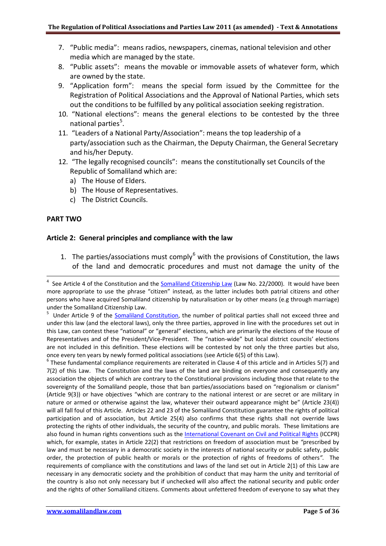- 7. "Public media": means radios, newspapers, cinemas, national television and other media which are managed by the state.
- 8. "Public assets": means the movable or immovable assets of whatever form, which are owned by the state.
- 9. "Application form": means the special form issued by the Committee for the Registration of Political Associations and the Approval of National Parties, which sets out the conditions to be fulfilled by any political association seeking registration.
- 10. "National elections": means the general elections to be contested by the three national parties<sup>[5](#page-4-0)</sup>.
- 11. "Leaders of a National Party/Association": means the top leadership of a party/association such as the Chairman, the Deputy Chairman, the General Secretary and his/her Deputy.
- 12. "The legally recognised councils": means the constitutionally set Councils of the Republic of Somaliland which are:
	- a) The House of Elders.
	- b) The House of Representatives.
	- c) The District Councils.

## **PART TWO**

## **Article 2: General principles and compliance with the law**

1. The parties/associations must comply $6$  with the provisions of Constitution, the laws of the land and democratic procedures and must not damage the unity of the

<span id="page-4-1"></span> $6$  These fundamental compliance requirements are reiterated in Clause 4 of this article and in Articles 5(7) and 7(2) of this Law. The Constitution and the laws of the land are binding on everyone and consequently any association the objects of which are contrary to the Constitutional provisions including those that relate to the sovereignty of the Somaliland people, those that ban parties/associations based on "regionalism or clanism" (Article 9(3)) or have objectives "which are contrary to the national interest or are secret or are military in nature or armed or otherwise against the law, whatever their outward appearance might be" (Article 23(4)) will all fall foul of this Article. Articles 22 and 23 of the Somaliland Constitution guarantee the rights of political participation and of association, but Article 25(4) also confirms that these rights shall not override laws protecting the rights of other individuals, the security of the country, and public morals. These limitations are also found in human rights conventions such as th[e International Covenant on Civil and Political Rights](http://www2.ohchr.org/english/law/ccpr.htm) (ICCPR) which, for example, states in Article 22(2) that restrictions on freedom of association must be *"*prescribed by law and must be necessary in a democratic society in the interests of national security or public safety, public order, the protection of public health or morals or the protection of rights of freedoms of others*".* The requirements of compliance with the constitutions and laws of the land set out in Article 2(1) of this Law are necessary in any democratic society and the prohibition of conduct that may harm the unity and territorial of the country is also not only necessary but if unchecked will also affect the national security and public order and the rights of other Somaliland citizens. Comments about unfettered freedom of everyone to say what they

<sup>-&</sup>lt;br>4 See Article 4 of the Constitution and the [Somaliland Citizenship Law](http://www.somalilandlaw.com/citizenship_law.htm) (Law No. 22/2000). It would have been more appropriate to use the phrase "citizen" instead, as the latter includes both patrial citizens and other persons who have acquired Somaliland citizenship by naturalisation or by other means (e.g through marriage) under the Somaliland Citizenship Law.

<span id="page-4-0"></span><sup>5</sup> Under Article 9 of the **Somaliland Constitution**, the number of political parties shall not exceed three and under this law (and the electoral laws), only the three parties, approved in line with the procedures set out in this Law, can contest these "national" or "general" elections, which are primarily the elections of the House of Representatives and of the President/Vice-President. The "nation-wide" but local district councils' elections are not included in this definition. These elections will be contested by not only the three parties but also, once every ten years by newly formed political associations (see Article 6(5) of this Law).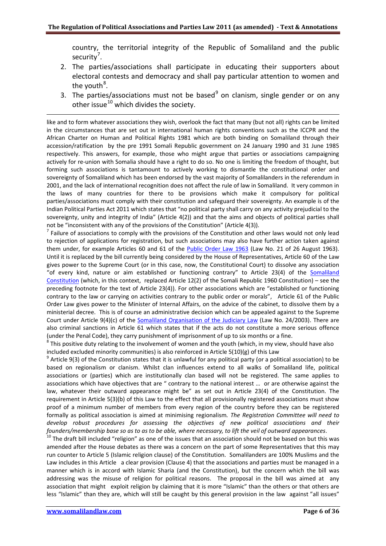country, the territorial integrity of the Republic of Somaliland and the public security<sup>[7](#page-5-0)</sup>.

- 2. The parties/associations shall participate in educating their supporters about electoral contests and democracy and shall pay particular attention to women and the youth<sup>[8](#page-5-1)</sup>.
- 3. The parties/associations must not be based<sup>[9](#page-5-2)</sup> on clanism, single gender or on any other issue $^{10}$  $^{10}$  $^{10}$  which divides the society.

like and to form whatever associations they wish, overlook the fact that many (but not all) rights can be limited in the circumstances that are set out in international human rights conventions such as the ICCPR and the African Charter on Human and Political Rights 1981 which are both binding on Somaliland through their accession/ratification by the pre 1991 Somali Republic government on 24 January 1990 and 31 June 1985 respectively. This answers, for example, those who might argue that parties or associations campaigning actively for re-union with Somalia should have a right to do so. No one is limiting the freedom of thought, but forming such associations is tantamount to actively working to dismantle the constitutional order and sovereignty of Somaliland which has been endorsed by the vast majority of Somalilanders in the referendum in 2001, and the lack of international recognition does not affect the rule of law in Somaliland. It very common in the laws of many countries for there to be provisions which make it compulsory for political parties/associations must comply with their constitution and safeguard their sovereignty. An example is of the Indian Political Parties Act 2011 which states that "no political party shall carry on any activity prejudicial to the sovereignty, unity and integrity of India" (Article 4(2)) and that the aims and objects of political parties shall not be "inconsistent with any of the provisions of the Constitution" (Article 4(3)).

<span id="page-5-0"></span> $<sup>7</sup>$  Failure of associations to comply with the provisions of the Constitution and other laws would not only lead</sup> to rejection of applications for registration, but such associations may also have further action taken against them under, for example Articles 60 and 61 of the [Public Order Law 1963](http://www.somalilandlaw.com/Public_Order_Law_1963_full_copy.pdf) (Law No. 21 of 26 August 1963). Until it is replaced by the bill currently being considered by the House of Representatives, Article 60 of the Law gives power to the Supreme Court (or in this case, now, the Constitutional Court) to dissolve any association "of every kind, nature or aim established or functioning contrary" to Article 23(4) of the [Somaliland](http://www.somalilandlaw.com/somaliland_constitution.htm)  [Constitution](http://www.somalilandlaw.com/somaliland_constitution.htm) (which, in this context, replaced Article 12(2) of the Somali Republic 1960 Constitution) – see the preceding footnote for the text of Article 23(4)). For other associations which are "established or functioning contrary to the law or carrying on activities contrary to the public order or moral*s*", Article 61 of the Public Order Law gives power to the Minister of Internal Affairs, on the advice of the cabinet, to dissolve them by a ministerial decree. This is of course an administrative decision which can be appealed against to the Supreme Court under Article 9(4)(c) of the [Somaliland Organisation of the Judiciary Law](http://www.somalilandlaw.com/XEERKA_NIDAAMKA_GARSOORKA__Lr._24-2003_FINAL.pdf) (Law No. 24/2003). There are also criminal sanctions in Article 61 which states that if the acts do not constitute a more serious offence (under the Penal Code), they carry punishment of imprisonment of up to six months or a fine.

<span id="page-5-1"></span><sup>8</sup> This positive duty relating to the involvement of women and the youth (which, in my view, should have also included excluded minority communities) is also reinforced in Article  $5(10)(g)$  of this Law

<span id="page-5-2"></span> $9$  Article 9(3) of the Constitution states that it is unlawful for any political party (or a political association) to be based on regionalism or clanism. Whilst clan influences extend to all walks of Somaliland life, political associations or (parties) which are institutionally clan based will not be registered. The same applies to associations which have objectives that are " contrary to the national interest … or are otherwise against the law, whatever their outward appearance might be" as set out in Article 23(4) of the Constitution. The requirement in Article 5(3)(b) of this Law to the effect that all provisionally registered associations must show proof of a minimum number of members from every region of the country before they can be registered formally as political association is aimed at minimising regionalism*. The Registration Committee will need to develop robust procedures for assessing the objectives of new political associations and their*  founders/membership base so as to as to be able, where necessary, to lift the veil of outward appearances.<br><sup>10</sup> The draft bill included "religion" as one of the issues that an association should not be based on but this wa

<span id="page-5-3"></span>amended after the House debates as there was a concern on the part of some Representatives that this may run counter to Article 5 (Islamic religion clause) of the Constitution. Somalilanders are 100% Muslims and the Law includes in this Article a clear provision (Clause 4) that the associations and parties must be managed in a manner which is in accord with Islamic Sharia (and the Constitution), but the concern which the bill was addressing was the misuse of religion for political reasons. The proposal in the bill was aimed at any association that might exploit religion by claiming that it is more "Islamic" than the others or that others are less "Islamic" than they are, which will still be caught by this general provision in the law against "all issues"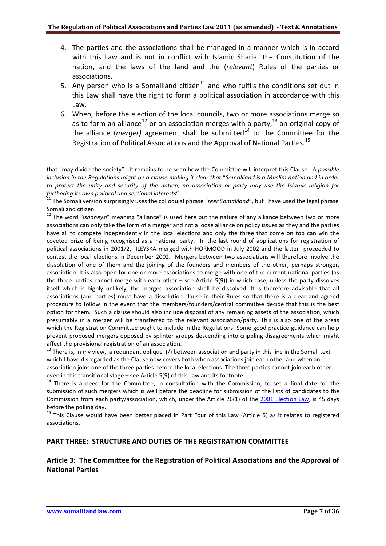- 4. The parties and the associations shall be managed in a manner which is in accord with this Law and is not in conflict with Islamic Sharia, the Constitution of the nation, and the laws of the land and the (*relevant*) Rules of the parties or associations.
- 5. Any person who is a Somaliland citizen<sup>[11](#page-6-0)</sup> and who fulfils the conditions set out in this Law shall have the right to form a political association in accordance with this Law.
- 6. When, before the election of the local councils, two or more associations merge so as to form an alliance<sup>[12](#page-6-1)</sup> or an association merges with a party,<sup>[13](#page-6-2)</sup> an original copy of the alliance (*merger*) agreement shall be submitted<sup>[14](#page-6-3)</sup> to the Committee for the Registration of Political Associations and the Approval of National Parties.<sup>[15](#page-6-4)</sup>

<span id="page-6-2"></span>which I have disregarded as the Clause now covers both when associations join each other and when an association joins one of the three parties before the local elections. The three parties cannot join each other even in this transitional stage – see Article 5(9) of this Law and its footnote.<br><sup>14</sup> There is a need for the Committee, in consultation with the Commission, to set a final date for the

<span id="page-6-3"></span>submission of such mergers which is well before the deadline for submission of the lists of candidates to the Commission from each party/association, which, under the Article 26(1) of the [2001 Election Law,](http://www.somalilandlaw.com/Presidential___Local_Elections_Law_2001_with_all_Amendments_FINAL.pdf) is 45 days before the polling day.

<span id="page-6-4"></span><sup>15</sup> This Clause would have been better placed in Part Four of this Law (Article 5) as it relates to registered associations.

## **PART THREE: STRUCTURE AND DUTIES OF THE REGISTRATION COMMITTEE**

# **Article 3: The Committee for the Registration of Political Associations and the Approval of National Parties**

that "may divide the society". It remains to be seen how the Committee will interpret this Clause. *A possible inclusion in the Regulations might be a clause making it clear that* "*Somaliland is a Muslim nation and in order to protect the unity and security of the nation, no association or party may use the Islamic religion for* 

<span id="page-6-0"></span>*furthering its own political and sectional interests"*.<br><sup>11</sup> The Somali version surprisingly uses the colloquial phrase "*reer Somaliland*", but I have used the legal phrase Somaliland citizen.

<span id="page-6-1"></span><sup>&</sup>lt;sup>12</sup> The word "isbaheysi" meaning "alliance" is used here but the nature of any alliance between two or more associations can only take the form of a merger and not a loose alliance on policy issues as they and the parties have all to compete independently in the local elections and only the three that come on top can win the coveted prize of being recognised as a national party. In the last round of applications for registration of political associations in 2001/2, ILEYSKA merged with HORMOOD in July 2002 and the latter proceeded to contest the local elections in December 2002. Mergers between two associations will therefore involve the dissolution of one of them and the joining of the founders and members of the other, perhaps stronger, association. It is also open for one or more associations to merge with one of the current national parties (as the three parties cannot merge with each other – see Article 5(9)) in which case, unless the party dissolves itself which is highly unlikely, the merged association shall be dissolved. It is therefore advisable that all associations (and parties) must have a dissolution clause in their Rules so that there is a clear and agreed procedure to follow in the event that the members/founders/central committee decide that this is the best option for them. Such a clause should also include disposal of any remaining assets of the association, which presumably in a merger will be transferred to the relevant association/party. This is also one of the areas which the Registration Committee ought to include in the Regulations. Some good practice guidance can help prevent proposed mergers opposed by splinter groups descending into crippling disagreements which might affect the provisional registration of an association.<br><sup>13</sup> There is, in my view, a redundant oblique (/) between association and party in this line in the Somali text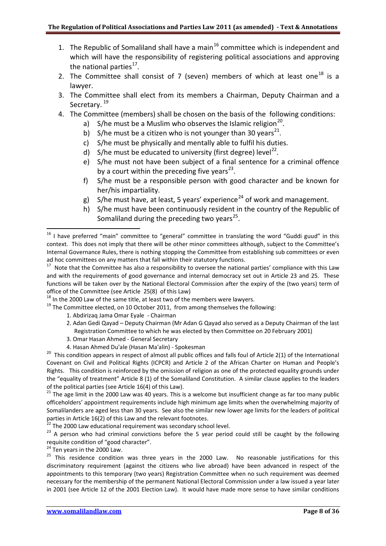- 1. The Republic of Somaliland shall have a main<sup>[16](#page-7-0)</sup> committee which is independent and which will have the responsibility of registering political associations and approving the national parties $^{17}$ .
- 2. The Committee shall consist of 7 (seven) members of which at least one<sup>[18](#page-7-2)</sup> is a lawyer.
- 3. The Committee shall elect from its members a Chairman, Deputy Chairman and a Secretary.<sup>[19](#page-7-3)</sup>
- 4. The Committee (members) shall be chosen on the basis of the following conditions:
	- a) S/he must be a Muslim who observes the Islamic religion<sup>20</sup>.
	- b) S/he must be a citizen who is not younger than 30 years<sup>[21](#page-7-5)</sup>.
	- c) S/he must be physically and mentally able to fulfil his duties.
	- d) S/he must be educated to university (first degree) level<sup>22</sup>.
	- e) S/he must not have been subject of a final sentence for a criminal offence by a court within the preceding five years $^{23}$  $^{23}$  $^{23}$ .
	- f) S/he must be a responsible person with good character and be known for her/his impartiality.
	- g) S/he must have, at least, 5 years' experience<sup>[24](#page-7-8)</sup> of work and management.
	- h) S/he must have been continuously resident in the country of the Republic of Somaliland during the preceding two years $^{25}$  $^{25}$  $^{25}$ .

- - 1. Abdirizaq Jama Omar Eyale Chairman
	- 2. Adan Gedi Qayad Deputy Chairman (Mr Adan G Qayad also served as a Deputy Chairman of the last Registration Committee to which he was elected by then Committee on 20 February 2001)
	- 3. Omar Hasan Ahmed General Secretary
	-

<span id="page-7-4"></span>4. Hasan Ahmed Du'ale (Hasan Ma'alin) - Spokesman<br><sup>20</sup> This condition appears in respect of almost all public offices and falls foul of Article 2(1) of the International Covenant on Civil and Political Rights (ICPCR) and Article 2 of the African Charter on Human and People's Rights. This condition is reinforced by the omission of religion as one of the protected equality grounds under the "equality of treatment" Article 8 (1) of the Somaliland Constitution. A similar clause applies to the leaders of the political parties (see Article 16(4) of this Law).<br><sup>21</sup> The age limit in the 2000 Law was 40 years. This is a welcome but insufficient change as far too many public

<span id="page-7-5"></span>officeholders' appointment requirements include high minimum age limits when the overwhelming majority of Somalilanders are aged less than 30 years. See also the similar new lower age limits for the leaders of political parties in Article 16(2) of this Law and the relevant footnotes.<br><sup>22</sup> The 2000 Law educational requirement was secondary school level.

<span id="page-7-7"></span><span id="page-7-6"></span> $23$  A person who had criminal convictions before the 5 year period could still be caught by the following requisite condition of "good character".<br><sup>24</sup> Ten years in the 2000 Law.

<span id="page-7-0"></span><sup>&</sup>lt;sup>16</sup> I have preferred "main" committee to "general" committee in translating the word "Guddi guud" in this context. This does not imply that there will be other minor committees although, subject to the Committee's Internal Governance Rules, there is nothing stopping the Committee from establishing sub committees or even ad hoc committees on any matters that fall within their statutory functions.

<span id="page-7-1"></span> $17$  Note that the Committee has also a responsibility to oversee the national parties' compliance with this Law and with the requirements of good governance and internal democracy set out in Article 23 and 25. These functions will be taken over by the National Electoral Commission after the expiry of the (two years) term of office of the Committee (see Article 25(8) of this Law)<br><sup>18</sup> In the 2000 Law of the same title, at least two of the members were lawyers.<br><sup>19</sup> The Committee elected, on 10 October 2011, from among themselves the following

<span id="page-7-3"></span><span id="page-7-2"></span>

<span id="page-7-9"></span><span id="page-7-8"></span><sup>25</sup> This residence condition was three years in the 2000 Law. No reasonable justifications for this discriminatory requirement (against the citizens who live abroad) have been advanced in respect of the appointments to this temporary (two years) Registration Committee when no such requirement was deemed necessary for the membership of the permanent National Electoral Commission under a law issued a year later in 2001 (see Article 12 of the 2001 Election Law). It would have made more sense to have similar conditions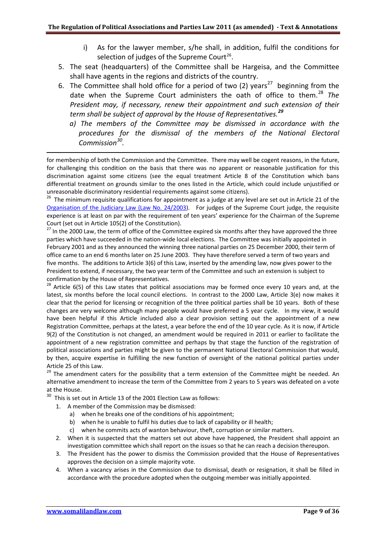- i) As for the lawyer member, s/he shall, in addition, fulfil the conditions for selection of judges of the Supreme Court<sup>[26](#page-8-0)</sup>.
- 5. The seat (headquarters) of the Committee shall be Hargeisa, and the Committee shall have agents in the regions and districts of the country.
- 6. The Committee shall hold office for a period of two (2) years<sup>27</sup> beginning from the date when the Supreme Court administers the oath of office to them. [28](#page-8-2) *The President may, if necessary, renew their appointment and such extension of their term shall be subject of approval by the House of Representatives.[29](#page-8-3)*
	- *a) The members of the Committee may be dismissed in accordance with the procedures for the dismissal of the members of the National Electoral Commission[30.](#page-8-4)*

for membership of both the Commission and the Committee. There may well be cogent reasons, in the future, for challenging this condition on the basis that there was no apparent or reasonable justification for this discrimination against some citizens (see the equal treatment Article 8 of the Constitution which bans differential treatment on grounds similar to the ones listed in the Article, which could include unjustified or unreasonable discriminatory residential requirements against some citizens).

<span id="page-8-0"></span><sup>26</sup> The minimum requisite qualifications for appointment as a judge at any level are set out in Article 21 of the [Organisation of the Judiciary Law \(Law No. 24/2003\)](http://www.somalilandlaw.com/organisation_of_judiciary_law.HTM). For judges of the Supreme Court judge, the requisite experience is at least on par with the requirement of ten years' experience for the Chairman of the Supreme Court (set out in Article 105(2) of the Constitution).<br><sup>27</sup> In the 2000 Law, the term of office of the Committee expired six months after they have approved the three

<span id="page-8-1"></span>parties which have succeeded in the nation-wide local elections. The Committee was initially appointed in February 2001 and as they announced the winning three national parties on 25 December 2000, their term of office came to an end 6 months later on 25 June 2003. They have therefore served a term of two years and five months. The additions to Article 3(6) of this Law, inserted by the amending law, now gives power to the President to extend, if necessary, the two year term of the Committee and such an extension is subject to

<span id="page-8-2"></span>confirmation by the House of Representatives.<br><sup>28</sup> Article 6(5) of this Law states that political associations may be formed once every 10 years and, at the latest, six months before the local council elections. In contrast to the 2000 Law, Article 3(e) now makes it clear that the period for licensing or recognition of the three political parties shall be 10 years. Both of these changes are very welcome although many people would have preferred a 5 year cycle. In my view, it would have been helpful if this Article included also a clear provision setting out the appointment of a new Registration Committee, perhaps at the latest, a year before the end of the 10 year cycle. As it is now, if Article 9(2) of the Constitution is not changed, an amendment would be required in 2011 or earlier to facilitate the appointment of a new registration committee and perhaps by that stage the function of the registration of political associations and parties might be given to the permanent National Electoral Commission that would, by then, acquire expertise in fulfilling the new function of oversight of the national political parties under Article 25 of this Law.

<span id="page-8-3"></span><sup>29</sup> The amendment caters for the possibility that a term extension of the Committee might be needed. An alternative amendment to increase the term of the Committee from 2 years to 5 years was defeated on a vote at the House.

<span id="page-8-4"></span> $30$  This is set out in Article 13 of the 2001 Election Law as follows:

- 1. A member of the Commission may be dismissed:
	- a) when he breaks one of the conditions of his appointment;
	- b) when he is unable to fulfil his duties due to lack of capability or ill health;
	- c) when he commits acts of wanton behaviour, theft, corruption or similar matters.
- 2. When it is suspected that the matters set out above have happened, the President shall appoint an investigation committee which shall report on the issues so that he can reach a decision thereupon.
- 3. The President has the power to dismiss the Commission provided that the House of Representatives approves the decision on a simple majority vote.
- 4. When a vacancy arises in the Commission due to dismissal, death or resignation, it shall be filled in accordance with the procedure adopted when the outgoing member was initially appointed.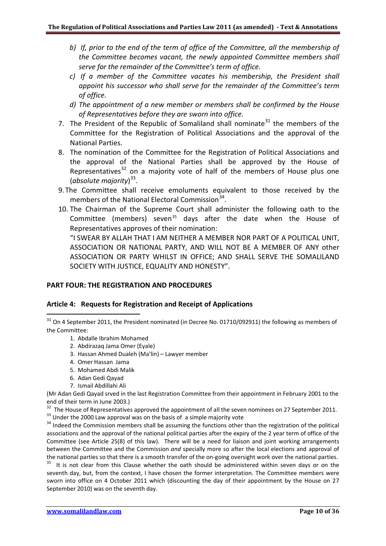- *b) If, prior to the end of the term of office of the Committee, all the membership of the Committee becomes vacant, the newly appointed Committee members shall serve for the remainder of the Committee's term of office.*
- *c) If a member of the Committee vacates his membership, the President shall appoint his successor who shall serve for the remainder of the Committee's term of office.*
- *d) The appointment of a new member or members shall be confirmed by the House of Representatives before they are sworn into office.*
- 7. The President of the Republic of Somaliland shall nominate<sup>[31](#page-9-0)</sup> the members of the Committee for the Registration of Political Associations and the approval of the National Parties.
- 8. The nomination of the Committee for the Registration of Political Associations and the approval of the National Parties shall be approved by the House of Representatives $32$  on a majority vote of half of the members of House plus one (*absolute majority*) [33](#page-9-2).
- 9. The Committee shall receive emoluments equivalent to those received by the members of the National Electoral Commission<sup>[34](#page-9-3)</sup>.
- 10. The Chairman of the Supreme Court shall administer the following oath to the Committee (members) seven<sup>[35](#page-9-4)</sup> days after the date when the House of Representatives approves of their nomination: "I SWEAR BY ALLAH THAT I AM NEITHER A MEMBER NOR PART OF A POLITICAL UNIT,

ASSOCIATION OR NATIONAL PARTY, AND WILL NOT BE A MEMBER OF ANY other ASSOCIATION OR PARTY WHILST IN OFFICE; AND SHALL SERVE THE SOMALILAND SOCIETY WITH JUSTICE, EQUALITY AND HONESTY".

## **PART FOUR: THE REGISTRATION AND PROCEDURES**

## **Article 4: Requests for Registration and Receipt of Applications**

- 1. Abdalle Ibrahim Mohamed
- 2. Abdirazaq Jama Omer (Eyale)
- 3. Hassan Ahmed Dualeh (Ma'lin) Lawyer member
- 4. Omer Hassan Jama
- 5. Mohamed Abdi Malik
- 6. Adan Gedi Qayad

1

7. Ismail Abdillahi Ali

(Mr Adan Gedi Qayad srved in the last Registration Committee from their appointment in February 2001 to the end of their term in June 2003.)

<span id="page-9-1"></span><sup>32</sup> The House of Representatives approved the appointment of all the seven nominees on 27 September 2011.<br><sup>33</sup> Under the 2000 Law approval was on the basis of a simple majority vote<br><sup>34</sup> Indeed the Commission members sha

<span id="page-9-3"></span><span id="page-9-2"></span>associations and the approval of the national political parties after the expiry of the 2 year term of office of the Committee (see Article 25(8) of this law). There will be a need for liaison and joint working arrangements between the Committee and the Commission *and* specially more so after the local elections and approval of the national parties so that there is a smooth transfer of the on-going oversight work over the national parties.<br><sup>35</sup> It is not clear from this Clause whether the oath should be administered within seven days or on the

<span id="page-9-4"></span>seventh day, but, from the context, I have chosen the former interpretation. The Committee members were sworn into office on 4 October 2011 which (discounting the day of their appointment by the House on 27 September 2010) was on the seventh day.

<span id="page-9-0"></span><sup>&</sup>lt;sup>31</sup> On 4 September 2011, the President nominated (in Decree No. 01710/092911) the following as members of the Committee: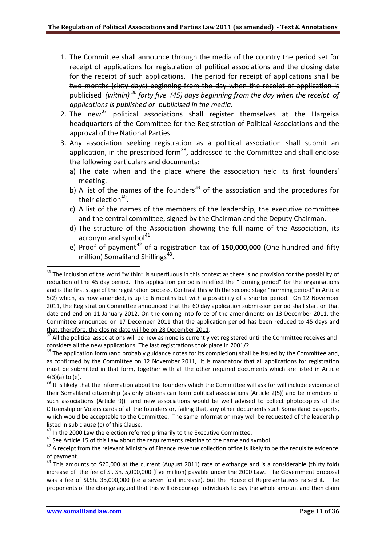- 1. The Committee shall announce through the media of the country the period set for receipt of applications for registration of political associations and the closing date for the receipt of such applications. The period for receipt of applications shall be two months (sixty days) beginning from the day when the receipt of application is publicised *(within) [36](#page-10-0) forty five (45) days beginning from the day when the receipt of applications is published or publicised in the media.*
- 2. The new<sup>[37](#page-10-1)</sup> political associations shall register themselves at the Hargeisa headquarters of the Committee for the Registration of Political Associations and the approval of the National Parties.
- 3. Any association seeking registration as a political association shall submit an application, in the prescribed form<sup>[38](#page-10-2)</sup>, addressed to the Committee and shall enclose the following particulars and documents:
	- a) The date when and the place where the association held its first founders' meeting.
	- b) A list of the names of the founders<sup>[39](#page-10-3)</sup> of the association and the procedures for their election $40$ .
	- c) A list of the names of the members of the leadership, the executive committee and the central committee, signed by the Chairman and the Deputy Chairman.
	- d) The structure of the Association showing the full name of the Association, its acronym and symbol $^{41}$ .
	- e) Proof of payment<sup>[42](#page-10-6)</sup> of a registration tax of 150,000,000 (One hundred and fifty million) Somaliland Shillings $43$ .

.

<span id="page-10-0"></span><sup>&</sup>lt;sup>36</sup> The inclusion of the word "within" is superfluous in this context as there is no provision for the possibility of reduction of the 45 day period. This application period is in effect the "forming period" for the organisations and is the first stage of the registration process. Contrast this with the second stage "norming period" in Article 5(2) which, as now amended, is up to 6 months but with a possibility of a shorter period. On 12 November 2011, the Registration Committee announced that the 60 day application submission period shall start on that date and end on 11 January 2012. On the coming into force of the amendments on 13 December 2011, the Committee announced on 17 December 2011 that the application period has been reduced to 45 days and

<span id="page-10-1"></span>that, therefore, the closing date will be on 28 December 2011.<br> $\frac{37}{37}$  All the political associations will be new as none is currently yet registered until the Committee receives and considers all the new applications. The last registrations took place in 2001/2.

<span id="page-10-2"></span><sup>&</sup>lt;sup>38</sup> The application form (and probably guidance notes for its completion) shall be issued by the Committee and, as confirmed by the Committee on 12 November 2011, it is mandatory that all applications for registration must be submitted in that form, together with all the other required documents which are listed in Article 4(3)(a) to (e).

<span id="page-10-3"></span><sup>39</sup> It is likely that the information about the founders which the Committee will ask for will include evidence of their Somaliland citizenship (as only citizens can form political associations (Article 2(5)) and be members of such associations (Article 9)) and new associations would be well advised to collect photocopies of the Citizenship or Voters cards of all the founders or, failing that, any other documents such Somaliland passports, which would be acceptable to the Committee. The same information may well be requested of the leadership

listed in sub clause (c) of this Clause.<br> $^{40}$  In the 2000 Law the election referred primarily to the Executive Committee.

<span id="page-10-6"></span><span id="page-10-5"></span><span id="page-10-4"></span><sup>&</sup>lt;sup>41</sup> See Article 15 of this Law about the requirements relating to the name and symbol.<br><sup>42</sup> A receipt from the relevant Ministry of Finance revenue collection office is likely to be the requisite evidence of payment.

<span id="page-10-7"></span> $43$  This amounts to \$20,000 at the current (August 2011) rate of exchange and is a considerable (thirty fold) increase of the fee of Sl. Sh. 5,000,000 (five million) payable under the 2000 Law. The Government proposal was a fee of Sl.Sh. 35,000,000 (i.e a seven fold increase), but the House of Representatives raised it. The proponents of the change argued that this will discourage individuals to pay the whole amount and then claim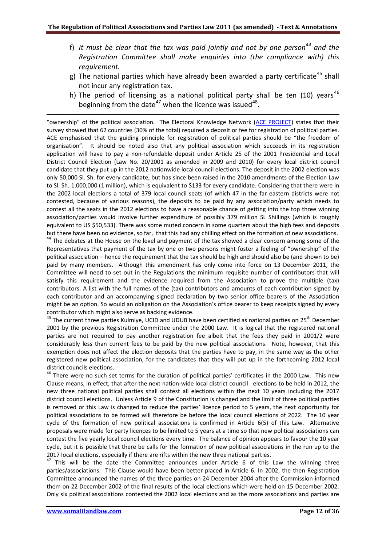- f) *It must be clear that the tax was paid jointly and not by one person[44](#page-11-0) and the Registration Committee shall make enquiries into (the compliance with) this requirement.*
- g) The national parties which have already been awarded a party certificate<sup>[45](#page-11-1)</sup> shall not incur any registration tax.
- h) The period of licensing as a national political party shall be ten (10) years<sup>[46](#page-11-2)</sup> beginning from the date<sup>[47](#page-11-3)</sup> when the licence was issued<sup>[48](#page-11-4)</sup>.

"ownership" of the political association. The Electoral Knowledge Network (ACE [PROJECT\)](http://www.eisa.org.za/WEP/comparties2.htm) states that their survey showed that 62 countries (30% of the total) required a deposit or fee for registration of political parties. ACE emphasised that the guiding principle for registration of political parties should be "the freedom of organisation". It should be noted also that any political association which succeeds in its registration application will have to pay a non-refundable deposit under Article 25 of the 2001 Presidential and Local District Council Election (Law No. 20/2001 as amended in 2009 and 2010) for every local district council candidate that they put up in the 2012 nationwide local council elections. The deposit in the 2002 election was only 50,000 Sl. Sh. for every candidate, but has since been raised in the 2010 amendments of the Election Law to Sl. Sh. 1,000,000 (1 million), which is equivalent to \$133 for every candidate. Considering that there were in the 2002 local elections a total of 379 local council seats (of which 47 in the far eastern districts were not contested, because of various reasons), the deposits to be paid by any association/party which needs to contest all the seats in the 2012 elections to have a reasonable chance of getting into the top three winning association/parties would involve further expenditure of possibly 379 million SL Shillings (which is roughly equivalent to US \$50,533). There was some muted concern in some quarters about the high fees and deposits

<span id="page-11-4"></span><span id="page-11-0"></span>but there have been no evidence, so far, that this had any chilling effect on the formation of new associations.<br><sup>44</sup> The debates at the House on the level and payment of the tax showed a clear concern among some of the Representatives that payment of the tax by one or two persons might foster a feeling of "ownership" of the political association – hence the requirement that the tax should be high and should also be (and shown to be) paid by many members. Although this amendment has only come into force on 13 December 2011, the Committee will need to set out in the Regulations the minimum requisite number of contributors that will satisfy this requirement and the evidence required from the Association to prove the multiple (tax) contributors. A list with the full names of the (tax) contributors and amounts of each contribution signed by each contributor and an accompanying signed declaration by two senior office bearers of the Association might be an option. So would an obligation on the Association's office bearer to keep receipts signed by every contributor which might also serve as backing evidence.

<span id="page-11-1"></span><sup>45</sup> The current three parties Kulmiye, UCID and UDUB have been certified as national parties on 25<sup>th</sup> December 2001 by the previous Registration Committee under the 2000 Law. It is logical that the registered national parties are not required to pay another registration fee albeit that the fees they paid in 2001/2 were considerably less than current fees to be paid by the new political associations. Note, however, that this exemption does not affect the election deposits that the parties have to pay, in the same way as the other registered new political association, for the candidates that they will put up in the forthcoming 2012 local district councils elections.

<span id="page-11-2"></span><sup>46</sup> There were no such set terms for the duration of political parties' certificates in the 2000 Law. This new Clause means, in effect, that after the next nation-wide local district council elections to be held in 2012, the new three national political parties shall contest all elections within the next 10 years including the 2017 district council elections. Unless Article 9 of the Constitution is changed and the limit of three political parties is removed or this Law is changed to reduce the parties' licence period to 5 years, the next opportunity for political associations to be formed will therefore be before the local council elections of 2022. The 10 year cycle of the formation of new political associations is confirmed in Article 6(5) of this Law. Alternative proposals were made for party licences to be limited to 5 years at a time so that new political associations can contest the five yearly local council elections every time. The balance of opinion appears to favour the 10 year cycle, but it is possible that there be calls for the formation of new political associations in the run up to the 2017 local elections, especially if there are rifts within the new three national parties.

<span id="page-11-3"></span> $47$  This will be the date the Committee announces under Article 6 of this Law the winning three parties/associations. This Clause would have been better placed in Article 6. In 2002, the then Registration Committee announced the names of the three parties on 24 December 2004 after the Commission informed them on 22 December 2002 of the final results of the local elections which were held on 15 December 2002. Only six political associations contested the 2002 local elections and as the more associations and parties are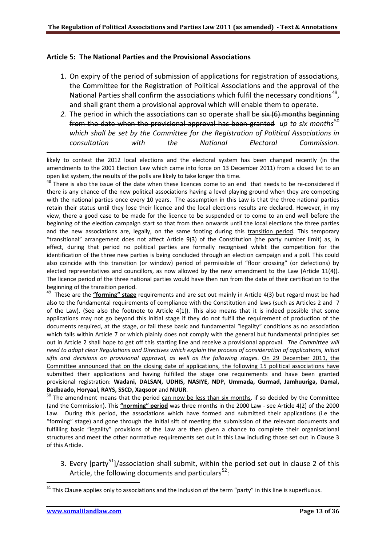## **Article 5: The National Parties and the Provisional Associations**

- 1. On expiry of the period of submission of applications for registration of associations, the Committee for the Registration of Political Associations and the approval of the National Parties shall confirm the associations which fulfil the necessary conditions<sup>[49](#page-12-0)</sup>, and shall grant them a provisional approval which will enable them to operate.
- 2. The period in which the associations can so operate shall be six (6) months beginning from the date when the provisional approval has been granted *up to six months*[50](#page-12-1) *which shall be set by the Committee for the Registration of Political Associations in consultation with the National Electoral Commission.*

<span id="page-12-3"></span>likely to contest the 2012 local elections and the electoral system has been changed recently (in the amendments to the 2001 Election Law which came into force on 13 December 2011) from a closed list to an open list system, the results of the polls are likely to take longer this time.

 $48$  There is also the issue of the date when these licences come to an end that needs to be re-considered if there is any chance of the new political associations having a level playing ground when they are competing with the national parties once every 10 years. The assumption in this Law is that the three national parties retain their status until they lose their licence and the local elections results are declared. However, in my view, there a good case to be made for the licence to be suspended or to come to an end well before the beginning of the election campaign start so that from then onwards until the local elections the three parties and the new associations are, legally, on the same footing during this transition period. This temporary "transitional" arrangement does not affect Article 9(3) of the Constitution (the party number limit) as, in effect, during that period no political parties are formally recognised whilst the competition for the identification of the three new parties is being concluded through an election campaign and a poll. This could also coincide with this transition (or window) period of permissible of "floor crossing" (or defections) by elected representatives and councillors, as now allowed by the new amendment to the Law (Article 11(4)). The licence period of the three national parties would have then run from the date of their certification to the beginning of the transition period.

<span id="page-12-0"></span>49 These are the **"forming" stage** requirements and are set out mainly in Article 4(3) but regard must be had also to the fundamental requirements of compliance with the Constitution and laws (such as Articles 2 and 7 of the Law). (See also the footnote to Article 4(1)). This also means that it is indeed possible that some applications may not go beyond this initial stage if they do not fulfil the requirement of production of the documents required, at the stage, or fail these basic and fundamental "legality" conditions as no association which falls within Article 7 or which plainly does not comply with the general but fundamental principles set out in Article 2 shall hope to get off this starting line and receive a provisional approval. *The Committee will need to adopt clear Regulations and Directives which explain the process of consideration of applications, initial sifts and decisions on provisional approval, as well as the following stages*. On 29 December 2011, the Committee announced that on the closing date of applications, the following 15 political associations have submitted their applications and having fulfilled the stage one requirements and have been granted provisional registration: **Wadani, DALSAN, UDHIS, NASIYE, NDP, Ummada, Gurmad, Jamhuuriga, Damal,** 

<span id="page-12-1"></span>**Badbaado, Horyaal, RAYS, SSCD, Xaqsoor** and **NUUR**.<br><sup>50</sup> The amendment means that the period can now be less than six months, if so decided by the Committee (and the Commission). This **"norming" period** was three months in the 2000 Law - see Article 4(2) of the 2000 Law. During this period, the associations which have formed and submitted their applications (i.e the "forming" stage) and gone through the initial sift of meeting the submission of the relevant documents and fulfilling basic "legality" provisions of the Law are then given a chance to complete their organisational structures and meet the other normative requirements set out in this Law including those set out in Clause 3 of this Article.

3. Every [party<sup>51</sup>]/association shall submit, within the period set out in clause 2 of this Article, the following documents and particulars<sup>[52](#page-12-3)</sup>:

1

<span id="page-12-2"></span><sup>&</sup>lt;sup>51</sup> This Clause applies only to associations and the inclusion of the term "party" in this line is superfluous.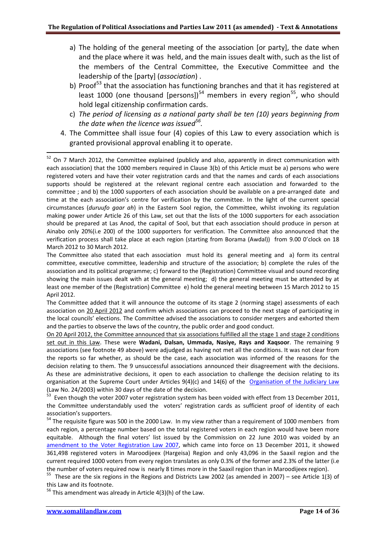- a) The holding of the general meeting of the association [or party], the date when and the place where it was held, and the main issues dealt with, such as the list of the members of the Central Committee, the Executive Committee and the leadership of the [party] (*association*) .
- b) Proof<sup>[53](#page-13-0)</sup> that the association has functioning branches and that it has registered at least 1000 (one thousand [persons])<sup>[54](#page-13-1)</sup> members in every region<sup>[55](#page-13-2)</sup>, who should hold legal citizenship confirmation cards.
- c) *The period of licensing as a national party shall be ten (10) years beginning from the date when the licence was issued[56.](#page-13-3)*
- 4. The Committee shall issue four (4) copies of this Law to every association which is granted provisional approval enabling it to operate.

<sup>52</sup> On 7 March 2012, the Committee explained (publicly and also, apparently in direct communication with each association) that the 1000 members required in Clause 3(b) of this Article must be a) persons who were registered voters and have their voter registration cards and that the names and cards of each associations supports should be registered at the relevant regional centre each association and forwarded to the committee ; and b) the 1000 supporters of each association should be available on a pre-arranged date and time at the each association's centre for verification by the committee. In the light of the current special circumstances (*duruufo gaar ah*) in the Eastern Sool region, the Committee, whilst invoking its regulation making power under Article 26 of this Law, set out that the lists of the 1000 supporters for each association should be prepared at Las Anod, the capital of Sool, but that each association should produce in person at Ainabo only 20%(i.e 200) of the 1000 supporters for verification. The Committee also announced that the verification process shall take place at each region (starting from Borama (Awdal)) from 9.00 0'clock on 18 March 2012 to 30 March 2012.

The Committee also stated that each association must hold its general meeting and a) form its central committee, executive committee, leadership and structure of the association; b) complete the rules of the association and its political programme; c) forward to the (Registration) Committee visual and sound recording showing the main issues dealt with at the general meeting; d) the general meeting must be attended by at least one member of the (Registration) Committee e) hold the general meeting between 15 March 2012 to 15 April 2012.

The Committee added that it will announce the outcome of its stage 2 (norming stage) assessments of each association on 20 April 2012 and confirm which associations can proceed to the next stage of participating in the local councils' elections. The Committee advised the associations to consider mergers and exhorted them and the parties to observe the laws of the country, the public order and good conduct.

On 20 April 2012, the Committee announced that six associations fulfilled all the stage 1 and stage 2 conditions set out in this Law. These were **Wadani, Dalsan, Ummada, Nasiye, Rays and Xaqsoor**. The remaining 9 associations (see footnote 49 above) were adjudged as having not met all the conditions. It was not clear from the reports so far whether, as should be the case, each association was informed of the reasons for the decision relating to them. The 9 unsuccessful associations announced their disagreement with the decisions. As these are administrative decisions, it open to each association to challenge the decision relating to its organisation at the Supreme Court under Articles 9(4)(c) and 14(6) of the [Organisation of the Judiciary Law](http://www.somalilandlaw.com/organisation_of_judiciary_law.HTM) (Law No. 24/2003) within 30 days of the date of the decision.

<span id="page-13-0"></span> $53$  Even though the voter 2007 voter registration system has been voided with effect from 13 December 2011, the Committee understandably used the voters' registration cards as sufficient proof of identity of each association's supporters.

<span id="page-13-1"></span><sup>54</sup> The requisite figure was 500 in the 2000 Law. In my view rather than a requirement of 1000 members from each region, a percentage number based on the total registered voters in each region would have been more equitable. Although the final voters' list issued by the Commission on 22 June 2010 was voided by an [amendment to the Voter Registration Law 2007,](http://www.somalilandlaw.com/voter_registration_law.HTM) which came into force on 13 December 2011, it showed 361,498 registered voters in Maroodijeex (Hargeisa) Region and only 43,096 in the Saaxil region and the current required 1000 voters from every region translates as only 0.3% of the former and 2.3% of the latter (i.e

<span id="page-13-2"></span>the number of voters required now is nearly 8 times more in the Saaxil region than in Maroodijeex region).<br><sup>55</sup> These are the six regions in the Regions and Districts Law 2002 (as amended in 2007) – see Article 1(3) of this Law and its footnote.

<span id="page-13-3"></span> $56$  This amendment was already in Article 4(3)(h) of the Law.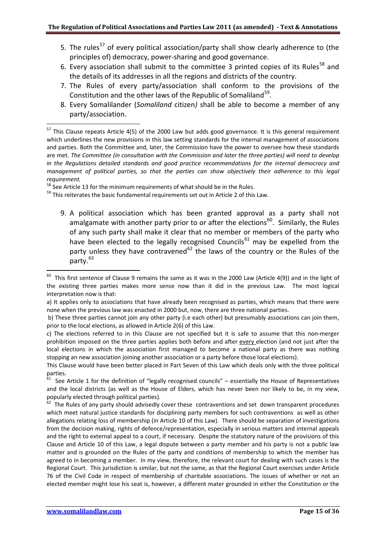- 5. The rules<sup>[57](#page-14-0)</sup> of every political association/party shall show clearly adherence to (the principles of) democracy, power-sharing and good governance.
- 6. Every association shall submit to the committee 3 printed copies of its Rules<sup>[58](#page-14-1)</sup> and the details of its addresses in all the regions and districts of the country.
- 7. The Rules of every party/association shall conform to the provisions of the Constitution and the other laws of the Republic of Somaliland<sup>59</sup>.
- 8. Every Somalilander (*Somaliland* citizen*)* shall be able to become a member of any party/association.

<span id="page-14-2"></span><span id="page-14-1"></span> $59$  This reiterates the basic fundamental requirements set out in Article 2 of this Law.

9. A political association which has been granted approval as a party shall not amalgamate with another party prior to or after the elections<sup>[60](#page-14-3)</sup>. Similarly, the Rules of any such party shall make it clear that no member or members of the party who have been elected to the legally recognised Councils<sup>[61](#page-14-4)</sup> may be expelled from the party unless they have contravened<sup>[62](#page-14-5)</sup> the laws of the country or the Rules of the party. [63](#page-14-6) 

<span id="page-14-6"></span>1

.

<span id="page-14-0"></span> $57$  This Clause repeats Article 4(5) of the 2000 Law but adds good governance. It is this general requirement which underlines the new provisions in this law setting standards for the internal management of associations and parties. Both the Committee and, later, the Commission have the power to oversee how these standards are met. *The Committee (in consultation with the Commission and later the three parties) will need to develop in the Regulations detailed standards and good practice recommendations for the internal democracy and management of political parties, so that the parties can show objectively their adherence to this legal requirement.*<br><sup>58</sup> See Article 13 for the minimum requirements of what should be in the Rules.

<span id="page-14-3"></span> $60$  This first sentence of Clause 9 remains the same as it was in the 2000 Law (Article 4(9)) and in the light of the existing three parties makes more sense now than it did in the previous Law. The most logical interpretation now is that:

a) It applies only to associations that have already been recognised as parties, which means that there were none when the previous law was enacted in 2000 but, now, there are three national parties.

b) These three parties cannot join any other party (i.e each other) but presumably associations can join them, prior to the local elections, as allowed in Article 2(6) of this Law.

c) The elections referred to in this Clause are not specified but it is safe to assume that this non-merger prohibition imposed on the three parties applies both before and after every election (and not just after the local elections in which the association first managed to become a national party as there was nothing stopping an new association joining another association or a party before those local elections).

This Clause would have been better placed in Part Seven of this Law which deals only with the three political parties.

<span id="page-14-4"></span> $61$  See Article 1 for the definition of "legally recognised councils" – essentially the House of Representatives and the local districts (as well as the House of Elders, which has never been nor likely to be, in my view, popularly elected through political parties).

<span id="page-14-5"></span>The Rules of any party should advisedly cover these contraventions and set down transparent procedures which meet natural justice standards for disciplining party members for such contraventions as well as other allegations relating loss of membership (in Article 10 of this Law). There should be separation of investigations from the decision making, rights of defence/representation, especially in serious matters and internal appeals and the right to external appeal to a court, if necessary. Despite the statutory nature of the provisions of this Clause and Article 10 of this Law, a legal dispute between a party member and his party is not a public law matter and is grounded on the Rules of the party and conditions of membership to which the member has agreed to in becoming a member. In my view, therefore, the relevant court for dealing with such cases is the Regional Court. This jurisdiction is similar, but not the same, as that the Regional Court exercises under Article 76 of the Civil Code in respect of membership of charitable associations. The issues of whether or not an elected member might lose his seat is, however, a different mater grounded in either the Constitution or the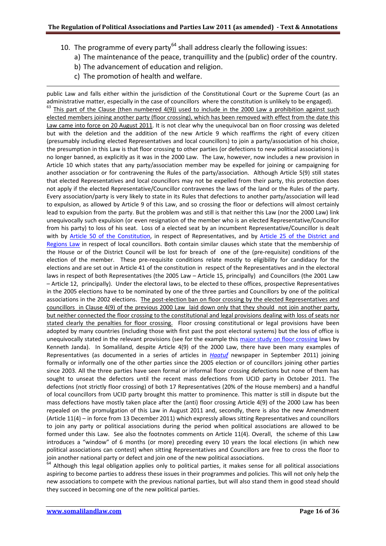- 10. The programme of every party $^{64}$  $^{64}$  $^{64}$  shall address clearly the following issues:
	- a) The maintenance of the peace, tranquillity and the (public) order of the country.
	- b) The advancement of education and religion.
	- c) The promotion of health and welfare.

1

public Law and falls either within the jurisdiction of the Constitutional Court or the Supreme Court (as an administrative matter, especially in the case of councillors where the constitution is unlikely to be engaged).  $63$  This part of the Clause (then numbered 4(9)) used to include in the 2000 Law a prohibition against such elected members joining another party (floor crossing), which has been removed with effect from the date this Law came into force on 20 August 2011. It is not clear why the unequivocal ban on floor crossing was deleted but with the deletion and the addition of the new Article 9 which reaffirms the right of every citizen (presumably including elected Representatives and local councillors) to join a party/association of his choice, the presumption in this Law is that floor crossing to other parties (or defections to new political associations) is no longer banned, as explicitly as it was in the 2000 Law. The Law, however, now includes a new provision in Article 10 which states that any party/association member may be expelled for joining or campaigning for another association or for contravening the Rules of the party/association. Although Article 5(9) still states that elected Representatives and local councillors may not be expelled from their party, this protection does not apply if the elected Representative/Councillor contravenes the laws of the land or the Rules of the party. Every association/party is very likely to state in its Rules that defections to another party/association will lead to expulsion, as allowed by Article 9 of this Law, and so crossing the floor or defections will almost certainly lead to expulsion from the party. But the problem was and still is that neither this Law (nor the 2000 Law) link unequivocally such expulsion (or even resignation of the member who is an elected Representative/Councillor from his party) to loss of his seat. Loss of a elected seat by an incumbent Representative/Councillor is dealt with by [Article 50 of the Constitution,](http://www.somalilandlaw.com/somaliland_constitution.htm) in respect of Representatives, and by [Article 25 of the District and](http://www.somalilandlaw.com/Xeerka_Gobollada_iyo_Degmooyinka_2007.htm)  [Regions Law](http://www.somalilandlaw.com/Xeerka_Gobollada_iyo_Degmooyinka_2007.htm) in respect of local councillors. Both contain similar clauses which state that the membership of the House or of the District Council will be lost for breach of one of the (pre-requisite) conditions of the election of the member. These pre-requisite conditions relate mostly to eligibility for candidacy for the elections and are set out in Article 41 of the constitution in respect of the Representatives and in the electoral laws in respect of both Representatives (the 2005 Law – Article 15, principally) and Councillors (the 2001 Law – Article 12, principally). Under the electoral laws, to be elected to these offices, prospective Representatives in the 2005 elections have to be nominated by one of the three parties and Councillors by one of the political associations in the 2002 elections. The post-election ban on floor crossing by the elected Representatives and councillors in Clause 4(9) of the previous 2000 Law laid down only that they should not join another party, but neither connected the floor crossing to the constitutional and legal provisions dealing with loss of seats nor stated clearly the penalties for floor crossing. Floor crossing constitutional or legal provisions have been adopted by many countries (including those with first past the post electoral systems) but the loss of office is unequivocally stated in the relevant provisions (see for the example this [major study on floor crossing](http://janda.org/bio/parties/papers/Janda%20(2009b).pdf) laws by Kenneth Janda). In Somaliland, despite Article 4(9) of the 2000 Law, there have been many examples of Representatives (as documented in a series of articles in *[Haatuf](http://www.haatuf.net/)* newspaper in September 2011) joining formally or informally one of the other parties since the 2005 election or of councillors joining other parties since 2003. All the three parties have seen formal or informal floor crossing defections but none of them has sought to unseat the defectors until the recent mass defections from UCID party in October 2011. The defections (not strictly floor crossing) of both 17 Representatives (20% of the House members) and a handful of local councillors from UCID party brought this matter to prominence. This matter is still in dispute but the mass defections have mostly taken place after the (anti) floor crossing Article 4(9) of the 2000 Law has been repealed on the promulgation of this Law in August 2011 and, secondly, there is also the new Amendment (Article 11(4) – in force from 13 December 2011) which expressly allows sitting Representatives and councillors to join any party or political associations during the period when political associations are allowed to be formed under this Law. See also the footnotes comments on Article 11(4). Overall, the scheme of this Law introduces a "window" of 6 months (or more) preceding every 10 years the local elections (in which new political associations can contest) when sitting Representatives and Councillors are free to cross the floor to join another national party or defect and join one of the new political associations.

<span id="page-15-0"></span> $64$  Although this legal obligation applies only to political parties, it makes sense for all political associations aspiring to become parties to address these issues in their programmes and policies. This will not only help the new associations to compete with the previous national parties, but will also stand them in good stead should they succeed in becoming one of the new political parties.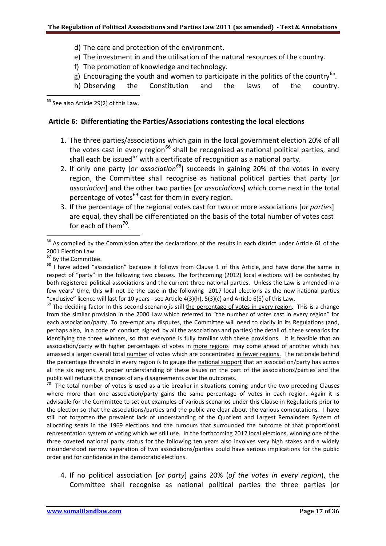- d) The care and protection of the environment.
- e) The investment in and the utilisation of the natural resources of the country.
- f) The promotion of knowledge and technology.
- g) Encouraging the youth and women to participate in the politics of the country<sup>65</sup>.
- h) Observing the Constitution and the laws of the country.

<span id="page-16-0"></span>1  $65$  See also Article 29(2) of this Law.

# **Article 6: Differentiating the Parties/Associations contesting the local elections**

- 1. The three parties/associations which gain in the local government election 20% of all the votes cast in every region<sup>[66](#page-16-1)</sup> shall be recognised as national political parties, and shall each be issued<sup>[67](#page-16-2)</sup> with a certificate of recognition as a national party.
- 2. If only one party [*or association[68](#page-16-3)*] succeeds in gaining 20% of the votes in every region, the Committee shall recognise as national political parties that party [*or association*] and the other two parties [*or associations*] which come next in the total percentage of votes $^{69}$  $^{69}$  $^{69}$  cast for them in every region.
- 3. If the percentage of the regional votes cast for two or more associations [*or parties*] are equal, they shall be differentiated on the basis of the total number of votes cast for each of them $^{70}$  $^{70}$  $^{70}$ .

.

<span id="page-16-4"></span>"exclusive" licence will last for 10 years - see Article 4(3)(h), 5(3)(c) and Article 6(5) of this Law.<br><sup>69</sup> The deciding factor in this second scenario is still the percentage of votes in every region. This is a change from the similar provision in the 2000 Law which referred to "the number of votes cast in every region" for each association/party. To pre-empt any disputes, the Committee will need to clarify in its Regulations (and, perhaps also, in a code of conduct signed by all the associations and parties) the detail of these scenarios for identifying the three winners, so that everyone is fully familiar with these provisions. It is feasible that an association/party with higher percentages of votes in more regions may come ahead of another which has amassed a larger overall total number of votes which are concentrated in fewer regions. The rationale behind the percentage threshold in every region is to gauge the national support that an association/party has across all the six regions. A proper understanding of these issues on the part of the associations/parties and the public will reduce the chances of any disagreements over the outcomes.

<span id="page-16-5"></span>The total number of votes is used as a tie breaker in situations coming under the two preceding Clauses where more than one association/party gains the same percentage of votes in each region. Again it is advisable for the Committee to set out examples of various scenarios under this Clause in Regulations prior to the election so that the associations/parties and the public are clear about the various computations*.* I have still not forgotten the prevalent lack of understanding of the Quotient and Largest Remainders System of allocating seats in the 1969 elections and the rumours that surrounded the outcome of that proportional representation system of voting which we still use. In the forthcoming 2012 local elections, winning one of the three coveted national party status for the following ten years also involves very high stakes and a widely misunderstood narrow separation of two associations/parties could have serious implications for the public order and for confidence in the democratic elections.

4. If no political association [*or party*] gains 20% (*of the votes in every region*), the Committee shall recognise as national political parties the three parties [*or* 

<span id="page-16-1"></span> $^{66}$  As compiled by the Commission after the declarations of the results in each district under Article 61 of the

<sup>2001</sup> Election Law<br><sup>67</sup> By the Committee.

<span id="page-16-3"></span><span id="page-16-2"></span> $68$  I have added "association" because it follows from Clause 1 of this Article, and have done the same in respect of "party" in the following two clauses. The forthcoming (2012) local elections will be contested by both registered political associations and the current three national parties. Unless the Law is amended in a few years' time, this will not be the case in the following 2017 local elections as the new national parties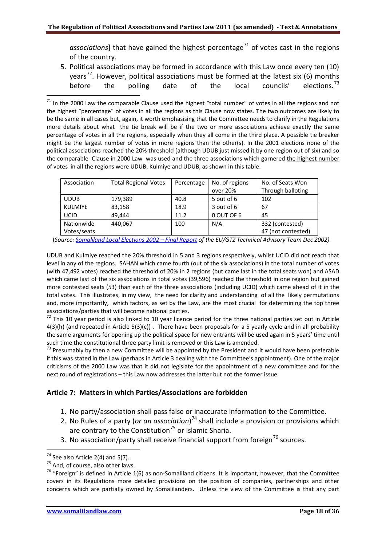*associations*] that have gained the highest percentage<sup>[71](#page-17-0)</sup> of votes cast in the regions of the country.

5. Political associations may be formed in accordance with this Law once every ten (10) years<sup>[72](#page-17-1)</sup>. However, political associations must be formed at the latest six (6) months before the polling date of the local councils' elections.<sup>[73](#page-17-2)</sup>

<span id="page-17-0"></span> $71$  In the 2000 Law the comparable Clause used the highest "total number" of votes in all the regions and not the highest "percentage" of votes in all the regions as this Clause now states. The two outcomes are likely to be the same in all cases but, again, it worth emphasising that the Committee needs to clarify in the Regulations more details about what the tie break will be if the two or more associations achieve exactly the same percentage of votes in all the regions, especially when they all come in the third place. A possible tie breaker might be the largest number of votes in more regions than the other(s). In the 2001 elections none of the political associations reached the 20% threshold (although UDUB just missed it by one region out of six) and so the comparable Clause in 2000 Law was used and the three associations which garnered the highest number of votes in all the regions were UDUB, Kulmiye and UDUB, as shown in this table:

| Association    | <b>Total Regional Votes</b> | Percentage | No. of regions | No. of Seats Won   |
|----------------|-----------------------------|------------|----------------|--------------------|
|                |                             |            | over 20%       | Through balloting  |
| <b>UDUB</b>    | 179,389                     | 40.8       | 5 out of 6     | 102                |
| <b>KULMIYE</b> | 83,158                      | 18.9       | 3 out of 6     | 67                 |
| <b>UCID</b>    | 49.444                      | 11.2       | 0 OUT OF 6     | 45                 |
| Nationwide     | 440,067                     | 100        | N/A            | 332 (contested)    |
| Votes/seats    |                             |            |                | 47 (not contested) |

(*Source[: Somaliland Local Elections 2002 – Final Report](http://www.somalilandlaw.com/SL_Local_Elections_EU-GTZ_Final_Report_2002.pdf) of the EU/GTZ Technical Advisory Team Dec 2002)*

UDUB and Kulmiye reached the 20% threshold in 5 and 3 regions respectively, whilst UCID did not reach that level in any of the regions. SAHAN which came fourth (out of the six associations) in the total number of votes (with 47,492 votes) reached the threshold of 20% in 2 regions (but came last in the total seats won) and ASAD which came last of the six associations in total votes (39,596) reached the threshold in one region but gained more contested seats (53) than each of the three associations (including UCID) which came ahead of it in the total votes. This illustrates, in my view, the need for clarity and understanding of all the likely permutations and, more importantly, which factors, as set by the Law, are the most crucial for determining the top three associations/parties that will become national parties.

<span id="page-17-1"></span> $72$  This 10 year period is also linked to 10 year licence period for the three national parties set out in Article 4(3)(h) (and repeated in Article 5(3)(c)) . There have been proposals for a 5 yearly cycle and in all probability the same arguments for opening up the political space for new entrants will be used again in 5 years' time until such time the constitutional three party limit is removed or this Law is amended.

<span id="page-17-2"></span> $<sup>73</sup>$  Presumably by then a new Committee will be appointed by the President and it would have been preferable</sup> if this was stated in the Law (perhaps in Article 3 dealing with the Committee's appointment). One of the major criticisms of the 2000 Law was that it did not legislate for the appointment of a new committee and for the next round of registrations – this Law now addresses the latter but not the former issue.

## **Article 7: Matters in which Parties/Associations are forbidden**

- 1. No party/association shall pass false or inaccurate information to the Committee.
- 2. No Rules of a party (*or an association*) [74](#page-17-3) shall include a provision or provisions which are contrary to the Constitution<sup>[75](#page-17-4)</sup> or Islamic Sharia.
- 3. No association/party shall receive financial support from foreign<sup>[76](#page-17-5)</sup> sources.

1

<span id="page-17-5"></span><span id="page-17-4"></span>

<span id="page-17-3"></span><sup>&</sup>lt;sup>74</sup> See also Article 2(4) and 5(7).<br><sup>75</sup> And, of course, also other laws.<br><sup>76</sup> "Foreign" is defined in Article 1(6) as non-Somaliland citizens. It is important, however, that the Committee covers in its Regulations more detailed provisions on the position of companies, partnerships and other concerns which are partially owned by Somalilanders. Unless the view of the Committee is that any part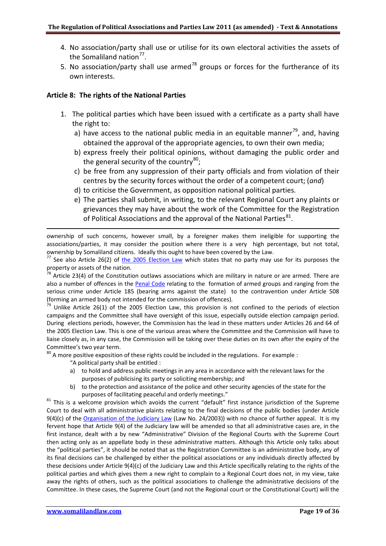- 4. No association/party shall use or utilise for its own electoral activities the assets of the Somaliland nation $77$ .
- 5. No association/party shall use armed<sup>[78](#page-18-1)</sup> groups or forces for the furtherance of its own interests.

## **Article 8: The rights of the National Parties**

- 1. The political parties which have been issued with a certificate as a party shall have the right to:
	- a) have access to the national public media in an equitable manner<sup>[79](#page-18-2)</sup>, and, having obtained the approval of the appropriate agencies, to own their own media;
	- b) express freely their political opinions, without damaging the public order and the general security of the country<sup>[80](#page-18-3)</sup>;
	- c) be free from any suppression of their party officials and from violation of their centres by the security forces without the order of a competent court; (*and*)
	- d) to criticise the Government, as opposition national political parties.
	- e) The parties shall submit, in writing, to the relevant Regional Court any plaints or grievances they may have about the work of the Committee for the Registration of Political Associations and the approval of the National Parties<sup>[81](#page-18-4)</sup>.

ownership of such concerns, however small, by a foreigner makes them ineligible for supporting the associations/parties, it may consider the position where there is a very high percentage, but not total,

<span id="page-18-0"></span>ownership by Somaliland citizens. Ideally this ought to have been covered by the Law.<br><sup>77</sup> See also Article 26(2) of [the 2005 Election Law](http://www.somalilandlaw.com/representatives__election_law.htm) which states that no party may use for its purposes the property or assets of the nation.

<span id="page-18-1"></span> $78$  Article 23(4) of the Constitution outlaws associations which are military in nature or are armed. There are also a number of offences in the [Penal Code](http://www.somalilandlaw.com/criminal_law.html) relating to the formation of armed groups and ranging from the serious crime under Article 185 (bearing arms against the state) to the contravention under Article 508

<span id="page-18-2"></span>(forming an armed body not intended for the commission of offences)*.* <sup>79</sup> Unlike Article 26(1) of the 2005 Election Law, this provision is not confined to the periods of election campaigns and the Committee shall have oversight of this issue, especially outside election campaign period. During elections periods, however, the Commission has the lead in these matters under Articles 26 and 64 of the 2005 Election Law. This is one of the various areas where the Committee and the Commission will have to liaise closely as, in any case, the Commission will be taking over these duties on its own after the expiry of the Committee's two year term.

<span id="page-18-3"></span> $80$  A more positive exposition of these rights could be included in the regulations. For example :

- "A political party shall be entitled :
- a) to hold and address public meetings in any area in accordance with the relevant laws for the purposes of publicising its party or soliciting membership; and
- b) to the protection and assistance of the police and other security agencies of the state for the

<span id="page-18-4"></span>purposes of facilitating peaceful and orderly meetings."<br><sup>81</sup> This is a welcome provision which avoids the current "default" first instance jurisdiction of the Supreme Court to deal with all administrative plaints relating to the final decisions of the public bodies (under Article 9(4)(c) of the [Organisation of the Judiciary Law](http://www.somalilandlaw.com/organisation_of_judiciary_law.HTM) (Law No. 24/2003)) with no chance of further appeal. It is my fervent hope that Article 9(4) of the Judiciary law will be amended so that all administrative cases are, in the first instance, dealt with a by new "Administrative" Division of the Regional Courts with the Supreme Court then acting only as an appellate body in these administrative matters. Although this Article only talks about the "political parties", it should be noted that as the Registration Committee is an administrative body, any of its final decisions can be challenged by either the political associations or any individuals directly affected by these decisions under Article 9(4)(c) of the Judiciary Law and this Article specifically relating to the rights of the political parties and which gives them a new right to complain to a Regional Court does not, in my view, take away the rights of others, such as the political associations to challenge the administrative decisions of the Committee. In these cases, the Supreme Court (and not the Regional court or the Constitutional Court) will the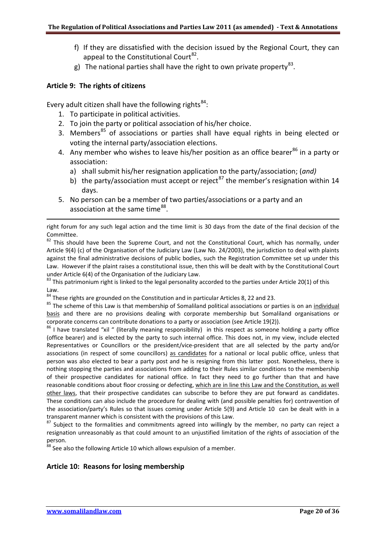- f) If they are dissatisfied with the decision issued by the Regional Court, they can appeal to the Constitutional Court $^{82}$  $^{82}$  $^{82}$ .
- g) The national parties shall have the right to own private property<sup>[83](#page-19-1)</sup>.

## **Article 9: The rights of citizens**

1

Every adult citizen shall have the following rights $^{84}$  $^{84}$  $^{84}$ :

- 1. To participate in political activities.
- 2. To join the party or political association of his/her choice.
- 3. Members<sup>[85](#page-19-3)</sup> of associations or parties shall have equal rights in being elected or voting the internal party/association elections.
- 4. Any member who wishes to leave his/her position as an office bearer $^{86}$  $^{86}$  $^{86}$  in a party or association:
	- a) shall submit his/her resignation application to the party/association; (*and)*
	- b) the party/association must accept or reject<sup>[87](#page-19-5)</sup> the member's resignation within 14 days.
- 5. No person can be a member of two parties/associations or a party and an association at the same time<sup>[88](#page-19-6)</sup>.

<span id="page-19-0"></span>Committee.<br><sup>82</sup> This should have been the Supreme Court, and not the Constitutional Court, which has normally, under Article 9(4) (c) of the Organisation of the Judiciary Law (Law No. 24/2003), the jurisdiction to deal with plaints against the final administrative decisions of public bodies, such the Registration Committee set up under this Law. However if the plaint raises a constitutional issue, then this will be dealt with by the Constitutional Court under Article 6(4) of the Organisation of the Judiciary Law.

<span id="page-19-1"></span> $83$  This patrimonium right is linked to the legal personality accorded to the parties under Article 20(1) of this Law.<br><sup>84</sup> These rights are grounded on the Constitution and in particular Articles 8, 22 and 23.

<span id="page-19-3"></span><span id="page-19-2"></span><sup>85</sup> The scheme of this Law is that membership of Somaliland political associations or parties is on an individual basis and there are no provisions dealing with corporate membership but Somaliland organisations or corporate concerns can contribute donations to a party or association (see Article 19(2)).<br><sup>86</sup> I have translated "xil " (literally meaning responsibility) in this respect as someone holding a party office

<span id="page-19-4"></span>(office bearer) and is elected by the party to such internal office. This does not, in my view, include elected Representatives or Councillors or the president/vice-president that are all selected by the party and/or associations (in respect of some councillors) as candidates for a national or local public office, unless that person was also elected to bear a party post and he is resigning from this latter post. Nonetheless, there is nothing stopping the parties and associations from adding to their Rules similar conditions to the membership of their prospective candidates for national office. In fact they need to go further than that and have reasonable conditions about floor crossing or defecting, which are in line this Law and the Constitution, as well other laws, that their prospective candidates can subscribe to before they are put forward as candidates. These conditions can also include the procedure for dealing with (and possible penalties for) contravention of the association/party's Rules so that issues coming under Article 5(9) and Article 10 can be dealt with in a transparent manner which is consistent with the provisions of this Law.

<span id="page-19-5"></span>87 Subject to the formalities and commitments agreed into willingly by the member, no party can reject a resignation unreasonably as that could amount to an unjustified limitation of the rights of association of the person.

<span id="page-19-6"></span><sup>88</sup> See also the following Article 10 which allows expulsion of a member.

## **Article 10: Reasons for losing membership**

right forum for any such legal action and the time limit is 30 days from the date of the final decision of the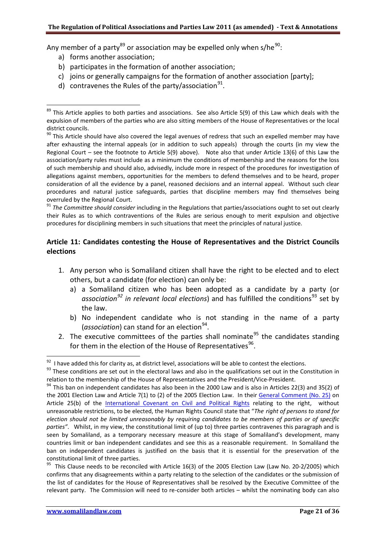Any member of a party<sup>[89](#page-20-0)</sup> or association may be expelled only when s/he<sup>[90](#page-20-1)</sup>:

- a) forms another association;
- b) participates in the formation of another association;
- c) joins or generally campaigns for the formation of another association [party];
- d) contravenes the Rules of the party/association<sup>91</sup>.

<span id="page-20-2"></span><sup>91</sup> The Committee should consider including in the Regulations that parties/associations ought to set out clearly their Rules as to which contraventions of the Rules are serious enough to merit expulsion and objective procedures for disciplining members in such situations that meet the principles of natural justice.

# **Article 11: Candidates contesting the House of Representatives and the District Councils elections**

- 1. Any person who is Somaliland citizen shall have the right to be elected and to elect others, but a candidate (for election) can only be:
	- a) a Somaliland citizen who has been adopted as a candidate by a party (or association<sup>[92](#page-20-3)</sup> in relevant local elections) and has fulfilled the conditions<sup>[93](#page-20-4)</sup> set by the law.
	- b) No independent candidate who is not standing in the name of a party (*association*) can stand for an election<sup>94</sup>.
- 2. The executive committees of the parties shall nominate<sup>[95](#page-20-6)</sup> the candidates standing for them in the election of the House of Representatives $96$ .

.

<span id="page-20-0"></span><sup>.</sup>  $89$  This Article applies to both parties and associations. See also Article 5(9) of this Law which deals with the expulsion of members of the parties who are also sitting members of the House of Representatives or the local district councils.

<span id="page-20-7"></span><span id="page-20-1"></span> $90$  This Article should have also covered the legal avenues of redress that such an expelled member may have after exhausting the internal appeals (or in addition to such appeals) through the courts (in my view the Regional Court – see the footnote to Article 5(9) above). Note also that under Article 13(6) of this Law the association/party rules must include as a minimum the conditions of membership and the reasons for the loss of such membership and should also, advisedly, include more in respect of the procedures for investigation of allegations against members, opportunities for the members to defend themselves and to be heard, proper consideration of all the evidence by a panel, reasoned decisions and an internal appeal. Without such clear procedures and natural justice safeguards, parties that discipline members may find themselves being overruled by the Regional Court.

<span id="page-20-4"></span><span id="page-20-3"></span> $^{92}$  I have added this for clarity as, at district level, associations will be able to contest the elections.<br><sup>93</sup> These conditions are set out in the electoral laws and also in the qualifications set out in the Constit relation to the membership of the House of Representatives and the President/Vice-President.<br><sup>94</sup> This ban on independent candidates has also been in the 2000 Law and is also in Articles 22(3) and 35(2) of

<span id="page-20-5"></span>the 2001 Election Law and Article 7(1) to (2) of the 2005 Election Law. In their [General Comment \(No. 25\)](http://search.ohchr.org/search?q=general+comment+no.+25&btnG=Search&ie=utf8&oe=utf8&output=xml_no_dtd&client=en_frontend&proxystylesheet=en_frontend&site=default_collection) on Article 25(b) of the [International Covenant on Civil and Political Rights](http://www2.ohchr.org/english/law/ccpr.htm) relating to the right, without unreasonable restrictions, to be elected, the Human Rights Council state that "*The right of persons to stand for election should not be limited unreasonably by requiring candidates to be members of parties or of specific parties"*. Whilst, in my view, the constitutional limit of (up to) three parties contravenes this paragraph and is seen by Somaliland, as a temporary necessary measure at this stage of Somaliland's development, many countries limit or ban independent candidates and see this as a reasonable requirement. In Somaliland the ban on independent candidates is justified on the basis that it is essential for the preservation of the constitutional limit of three parties.

<span id="page-20-6"></span> $95$  This Clause needs to be reconciled with Article 16(3) of the 2005 Election Law (Law No. 20-2/2005) which confirms that any disagreements within a party relating to the selection of the candidates or the submission of the list of candidates for the House of Representatives shall be resolved by the Executive Committee of the relevant party. The Commission will need to re-consider both articles – whilst the nominating body can also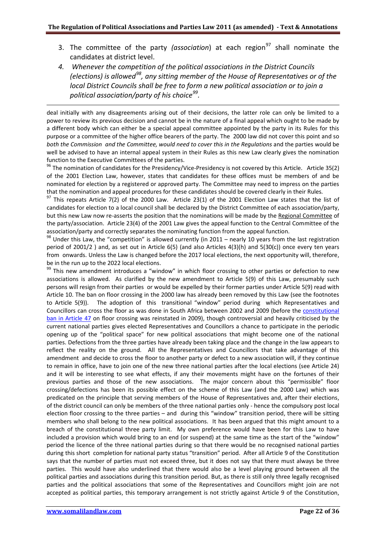- 3. The committee of the party *(association*) at each region<sup>[97](#page-21-0)</sup> shall nominate the candidates at district level.
- *4. Whenever the competition of the political associations in the District Councils (elections) is allowed[98](#page-21-1), any sitting member of the House of Representatives or of the local District Councils shall be free to form a new political association or to join a political association/party of his choice[99](#page-21-2).*

deal initially with any disagreements arising out of their decisions, the latter role can only be limited to a power to review its previous decision and cannot be in the nature of a final appeal which ought to be made by a different body which can either be a special appeal committee appointed by the party in its Rules for this purpose or a committee of the higher office bearers of the party. The 2000 law did not cover this point and so *both the Commission and the Committee, would need to cover this in the Regulations* and the parties would be well be advised to have an internal appeal system in their Rules as this new Law clearly gives the nomination function to the Executive Committees of the parties.

<sup>96</sup> The nomination of candidates for the Presidency/Vice-Presidency is not covered by this Article. Article 35(2) of the 2001 Election Law, however, states that candidates for these offices must be members of and be nominated for election by a registered or approved party. The Committee may need to impress on the parties

<span id="page-21-0"></span>that the nomination and appeal procedures for these candidates should be covered clearly in their Rules*.* <sup>97</sup> This repeats Article 7(2) of the 2000 Law. Article 23(1) of the 2001 Election Law states that the list of candidates for election to a local council shall be declared by the District Committee of each association/party, but this new Law now re-asserts the position that the nominations will be made by the Regional Committee of the party/association. Article 23(4) of the 2001 Law gives the appeal function to the Central Committee of the association/party and correctly separates the nominating function from the appeal function.

<span id="page-21-1"></span> $98$  Under this Law, the "competition" is allowed currently (in 2011 – nearly 10 years from the last registration period of 2001/2 ) and, as set out in Article 6(5) (and also Articles 4(3)(h) and 5(30(c)) once every ten years from onwards. Unless the Law is changed before the 2017 local elections, the next opportunity will, therefore, be in the run up to the 2022 local elections.

<span id="page-21-2"></span><sup>99</sup> This new amendment introduces a "window" in which floor crossing to other parties or defection to new associations is allowed. As clarified by the new amendment to Article 5(9) of this Law, presumably such persons will resign from their parties or would be expelled by their former parties under Article 5(9) read with Article 10. The ban on floor crossing in the 2000 law has already been removed by this Law (see the footnotes to Article 5(9)). The adoption of this transitional "window" period during which Representatives and Councillors can cross the floor as was done in South Africa between 2002 and 2009 (before the [constitutional](http://www.justice.gov.za/legislation/constitution/constitution.htm)  [ban in Article 47](http://www.justice.gov.za/legislation/constitution/constitution.htm) on floor crossing was reinstated in 2009), though controversial and heavily criticised by the current national parties gives elected Representatives and Councillors a chance to participate in the periodic opening up of the "political space" for new political associations that might become one of the national parties. Defections from the three parties have already been taking place and the change in the law appears to reflect the reality on the ground. All the Representatives and Councillors that take advantage of this amendment and decide to cross the floor to another party or defect to a new association will, if they continue to remain in office, have to join one of the new three national parties after the local elections (see Article 24) and it will be interesting to see what effects, if any their movements might have on the fortunes of their previous parties and those of the new associations. The major concern about this "permissible" floor crossing/defections has been its possible effect on the scheme of this Law (and the 2000 Law) which was predicated on the principle that serving members of the House of Representatives and, after their elections, of the district council can only be members of the three national parties only - hence the compulsory post local election floor crossing to the three parties – and during this "window" transition period, there will be sitting members who shall belong to the new political associations. It has been argued that this might amount to a breach of the constitutional three party limit. My own preference would have been for this Law to have included a provision which would bring to an end (or suspend) at the same time as the start of the "window" period the licence of the three national parties during so that there would be no recognised national parties during this short completion for national party status "transition" period. After all Article 9 of the Constitution says that the number of parties must not exceed three, but it does not say that there must always be three parties. This would have also underlined that there would also be a level playing ground between all the political parties and associations during this transition period. But, as there is still only three legally recognised parties and the political associations that some of the Representatives and Councillors might join are not accepted as political parties, this temporary arrangement is not strictly against Article 9 of the Constitution,

.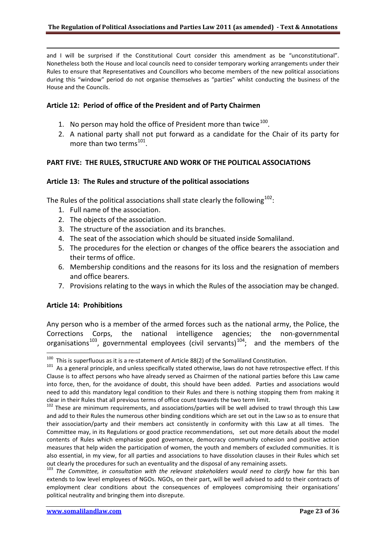and I will be surprised if the Constitutional Court consider this amendment as be "unconstitutional". Nonetheless both the House and local councils need to consider temporary working arrangements under their Rules to ensure that Representatives and Councillors who become members of the new political associations during this "window" period do not organise themselves as "parties" whilst conducting the business of the House and the Councils.

## **Article 12: Period of office of the President and of Party Chairmen**

- 1. No person may hold the office of President more than twice $100$ .
- 2. A national party shall not put forward as a candidate for the Chair of its party for more than two terms<sup>[101](#page-22-1)</sup>.

## **PART FIVE: THE RULES, STRUCTURE AND WORK OF THE POLITICAL ASSOCIATIONS**

## **Article 13: The Rules and structure of the political associations**

<span id="page-22-4"></span>The Rules of the political associations shall state clearly the following $^{102}$  $^{102}$  $^{102}$ :

- 1. Full name of the association.
- 2. The objects of the association.
- 3. The structure of the association and its branches.
- 4. The seat of the association which should be situated inside Somaliland.
- 5. The procedures for the election or changes of the office bearers the association and their terms of office.
- 6. Membership conditions and the reasons for its loss and the resignation of members and office bearers.
- 7. Provisions relating to the ways in which the Rules of the association may be changed.

## **Article 14: Prohibitions**

1

Any person who is a member of the armed forces such as the national army, the Police, the Corrections Corps, the national intelligence agencies; the non-governmental organisations<sup>[103](#page-22-3)</sup>, governmental employees (civil servants)<sup>[104](#page-22-4)</sup>; and the members of the

<span id="page-22-0"></span> $100$  This is superfluous as it is a re-statement of Article 88(2) of the Somaliland Constitution.

<span id="page-22-1"></span> $101$  As a general principle, and unless specifically stated otherwise, laws do not have retrospective effect. If this Clause is to affect persons who have already served as Chairmen of the national parties before this Law came into force, then, for the avoidance of doubt, this should have been added. Parties and associations would need to add this mandatory legal condition to their Rules and there is nothing stopping them from making it clear in their Rules that all previous terms of office count towards the two term limit.

<span id="page-22-2"></span><sup>&</sup>lt;sup>102</sup> These are minimum requirements, and associations/parties will be well advised to trawl through this Law and add to their Rules the numerous other binding conditions which are set out in the Law so as to ensure that their association/party and their members act consistently in conformity with this Law at all times. The Committee may, in its Regulations or good practice recommendations, set out more details about the model contents of Rules which emphasise good governance, democracy community cohesion and positive action measures that help widen the participation of women, the youth and members of excluded communities. It is also essential, in my view, for all parties and associations to have dissolution clauses in their Rules which set out clearly the procedures for such an eventuality and the disposal of any remaining assets.

<span id="page-22-3"></span><sup>&</sup>lt;sup>103</sup> The Committee, in consultation with the relevant stakeholders would need to clarify how far this ban extends to low level employees of NGOs. NGOs, on their part, will be well advised to add to their contracts of employment clear conditions about the consequences of employees compromising their organisations' political neutrality and bringing them into disrepute.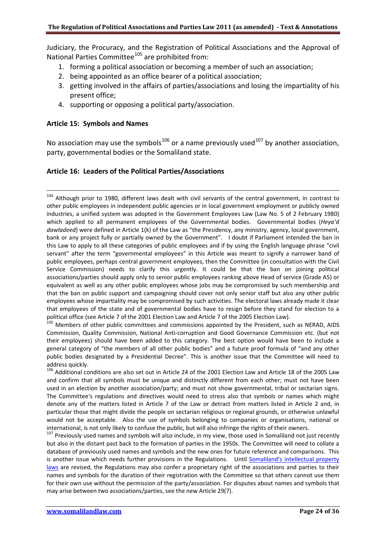Judiciary, the Procuracy, and the Registration of Political Associations and the Approval of National Parties Committee<sup>[105](#page-23-0)</sup> are prohibited from:

- 1. forming a political association or becoming a member of such an association;
- 2. being appointed as an office bearer of a political association;
- 3. getting involved in the affairs of parties/associations and losing the impartiality of his present office;
- 4. supporting or opposing a political party/association.

#### **Article 15: Symbols and Names**

No association may use the symbols<sup>[106](#page-23-1)</sup> or a name previously used<sup>[107](#page-23-2)</sup> by another association, party, governmental bodies or the Somaliland state.

## **Article 16: Leaders of the Political Parties/Associations**

<sup>104</sup> Although prior to 1980, different laws dealt with civil servants of the central government, in contrast to other public employees in independent public agencies or in local government employment or publicly owned industries, a unified system was adopted in the Government Employees Law (Law No. 5 of 2 February 1980) which applied to all permanent employees of the Governmental bodies. Governmental bodies (*Heya'd dawladeed*) were defined in Article 1(k) of the Law as "the Presidency, any ministry, agency, local government, bank or any project fully or partially owned by the Government". I doubt if Parliament intended the ban in this Law to apply to all these categories of public employees and if by using the English language phrase "civil servant" after the term "governmental employees" in this Article was meant to signify a narrower band of public employees, perhaps central government employees, then the Committee (in consultation with the Civil Service Commission) needs to clarify this urgently. It could be that the ban on joining political associations/parties should apply only to senior public employees ranking above Head of service (Grade A5) or equivalent as well as any other public employees whose jobs may be compromised by such membership and that the ban on public support and campaigning should cover not only senior staff but also any other public employees whose impartiality may be compromised by such activities. The electoral laws already made it clear that employees of the state and of governmental bodies have to resign before they stand for election to a political office (see Article 7 of the 2001 Election Law and Article 7 of the 2005 Election Law).

<span id="page-23-0"></span><sup>105</sup> Members of other public committees and commissions appointed by the President, such as NERAD, AIDS Commission, Quality Commission, National Anti-corruption and Good Governance Commission etc. (but not their employees) should have been added to this category. The best option would have been to include a general category of "the members of all other public bodies" and a future proof formula of "and any other public bodies designated by a Presidential Decree". This is another issue that the Committee will need to address quickly.

<span id="page-23-1"></span> $106$  Additional conditions are also set out in Article 24 of the 2001 Election Law and Article 18 of the 2005 Law and confirm that all symbols must be unique and distinctly different from each other; must not have been used in an election by another association/party; and must not show governmental, tribal or sectarian signs. The Committee's regulations and directives would need to stress also that symbols or names which might denote any of the matters listed in Article 7 of the Law or detract from matters listed in Article 2 and, in particular those that might divide the people on sectarian religious or regional grounds, or otherwise unlawful would not be acceptable. Also the use of symbols belonging to companies or organisations, national or international, is not only likely to confuse the public, but will also infringe the rights of their owners.

<span id="page-23-2"></span><sup>107</sup> Previously used names and symbols will also include, in my view, those used in Somaliland not just recently but also in the distant past back to the formation of parties in the 1950s. The Committee will need to collate a database of previously used names and symbols and the new ones for future reference and comparisons. This is another issue which needs further provisions in the Regulations. Until [Somaliland's intellectual property](http://www.somalilandlaw.com/somaliland_intellectual_proper.html)  [laws](http://www.somalilandlaw.com/somaliland_intellectual_proper.html) are revised, the Regulations may also confer a proprietary right of the associations and parties to their names and symbols for the duration of their registration with the Committee so that others cannot use them for their own use without the permission of the party/association. For disputes about names and symbols that may arise between two associations/parties, see the new Article 29(7).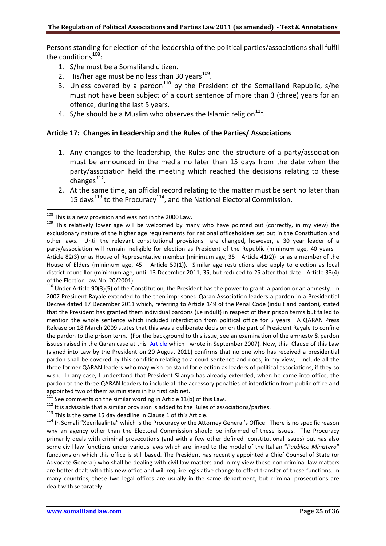Persons standing for election of the leadership of the political parties/associations shall fulfil the conditions $^{108}$  $^{108}$  $^{108}$ :

- 1. S/he must be a Somaliland citizen.
- 2. His/her age must be no less than 30 years $^{109}$ .
- 3. Unless covered by a pardon<sup>[110](#page-24-2)</sup> by the President of the Somaliland Republic, s/he must not have been subject of a court sentence of more than 3 (three) years for an offence, during the last 5 years.
- 4. S/he should be a Muslim who observes the Islamic religion $^{111}$ .

## **Article 17: Changes in Leadership and the Rules of the Parties/ Associations**

- 1. Any changes to the leadership, the Rules and the structure of a party/association must be announced in the media no later than 15 days from the date when the party/association held the meeting which reached the decisions relating to these changes $^{112}$  $^{112}$  $^{112}$ .
- 2. At the same time, an official record relating to the matter must be sent no later than 15 days<sup>[113](#page-24-5)</sup> to the Procuracy<sup>[114](#page-24-6)</sup>, and the National Electoral Commission.

1

<span id="page-24-2"></span> $110$  Under Article 90(3)(5) of the Constitution, the President has the power to grant a pardon or an amnesty. In 2007 President Rayale extended to the then imprisoned Qaran Association leaders a pardon in a Presidential Decree dated 17 December 2011 which, referring to Article 149 of the Penal Code (indult and pardon), stated that the President has granted them individual pardons (i.e indult) in respect of their prison terms but failed to mention the whole sentence which included interdiction from political office for 5 years. A QARAN Press Release on 18 March 2009 states that this was a deliberate decision on the part of President Rayale to confine the pardon to the prison term. (For the background to this issue, see an examination of the amnesty & pardon issues raised in the Qaran case at this [Article](http://www.somalilandlaw.com/Delayed_Release_of_QARAN_leaders_230907.pdf) which I wrote in September 2007). Now, this Clause of this Law (signed into Law by the President on 20 August 2011) confirms that no one who has received a presidential pardon shall be covered by this condition relating to a court sentence and does, in my view, include all the three former QARAN leaders who may wish to stand for election as leaders of political associations, if they so wish. In any case, I understand that President Silanyo has already extended, when he came into office, the pardon to the three QARAN leaders to include all the accessory penalties of interdiction from public office and

appointed two of them as ministers in his first cabinet.<br>  $^{111}$  See comments on the similar wording in Article 11(b) of this Law.

<span id="page-24-6"></span>

<span id="page-24-5"></span><span id="page-24-4"></span><span id="page-24-3"></span>113 It is advisable that a similar provision is added to the Rules of associations/parties.<br>
113 This is the same 15 day deadline in Clause 1 of this Article.<br>
114 In Somali "Xeerilaalinta" which is the Procuracy or the At why an agency other than the Electoral Commission should be informed of these issues. The Procuracy primarily deals with criminal prosecutions (and with a few other defined constitutional issues) but has also some civil law functions under various laws which are linked to the model of the Italian "*Pubblico Ministero*" functions on which this office is still based. The President has recently appointed a Chief Counsel of State (or Advocate General) who shall be dealing with civil law matters and in my view these non-criminal law matters are better dealt with this new office and will require legislative change to effect transfer of these functions. In many countries, these two legal offices are usually in the same department, but criminal prosecutions are dealt with separately.

<span id="page-24-1"></span><span id="page-24-0"></span><sup>&</sup>lt;sup>108</sup> This is a new provision and was not in the 2000 Law.<br><sup>109</sup> This relatively lower age will be welcomed by many who have pointed out (correctly, in my view) the exclusionary nature of the higher age requirements for national officeholders set out in the Constitution and other laws. Until the relevant constitutional provisions are changed, however, a 30 year leader of a party/association will remain ineligible for election as President of the Republic (minimum age, 40 years – Article 82(3) or as House of Representative member (minimum age, 35 – Article 41(2)) or as a member of the House of Elders (minimum age, 45 – Article 59(1)). Similar age restrictions also apply to election as local district councillor (minimum age, until 13 December 2011, 35, but reduced to 25 after that date - Article 33(4) of the Election Law No. 20/2001).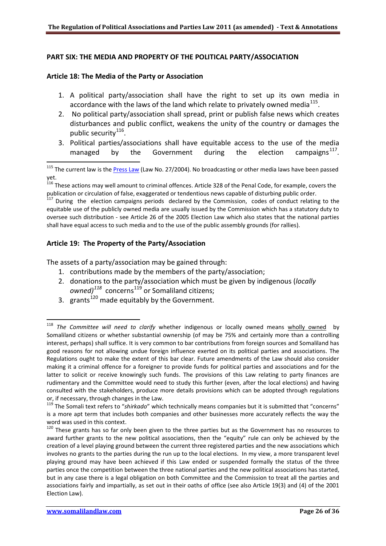# **PART SIX: THE MEDIA AND PROPERTY OF THE POLITICAL PARTY/ASSOCIATION**

## **Article 18: The Media of the Party or Association**

1

.

- 1. A political party/association shall have the right to set up its own media in accordance with the laws of the land which relate to privately owned media<sup>[115](#page-25-0)</sup>.
- 2. No political party/association shall spread, print or publish false news which creates disturbances and public conflict, weakens the unity of the country or damages the public security<sup>[116](#page-25-1)</sup>.
- 3. Political parties/associations shall have equitable access to the use of the media managed by the Government during the election campaigns<sup>[117](#page-25-2)</sup>.

<span id="page-25-2"></span><sup>117</sup> During the election campaigns periods declared by the Commission, codes of conduct relating to the equitable use of the publicly owned media are usually issued by the Commission which has a statutory duty to oversee such distribution - see Article 26 of the 2005 Election Law which also states that the national parties shall have equal access to such media and to the use of the public assembly grounds (for rallies).

## **Article 19: The Property of the Party/Association**

The assets of a party/association may be gained through:

- 1. contributions made by the members of the party/association;
- 2. donations to the party/association which must be given by indigenous (*locally owned*)<sup>[118](#page-25-3)</sup> concerns<sup>[119](#page-25-4)</sup> or Somaliland citizens;
- 3. grants<sup>[120](#page-25-5)</sup> made equitably by the Government.

<span id="page-25-0"></span><sup>&</sup>lt;sup>115</sup> The current law is th[e Press Law](http://www.somalilandlaw.com/press___media__law.htm) (Law No. 27/2004). No broadcasting or other media laws have been passed yet.

<span id="page-25-1"></span><sup>&</sup>lt;sup>116</sup> These actions may well amount to criminal offences. Article 328 of the Penal Code, for example, covers the publication or circulation of false, exaggerated or tendentious news capable of disturbing public order.

<span id="page-25-3"></span><sup>118</sup> *The Committee will need to clarify* whether indigenous or locally owned means wholly owned by Somaliland citizens or whether substantial ownership (of may be 75% and certainly more than a controlling interest, perhaps) shall suffice. It is very common to bar contributions from foreign sources and Somaliland has good reasons for not allowing undue foreign influence exerted on its political parties and associations. The Regulations ought to make the extent of this bar clear. Future amendments of the Law should also consider making it a criminal offence for a foreigner to provide funds for political parties and associations and for the latter to solicit or receive knowingly such funds. The provisions of this Law relating to party finances are rudimentary and the Committee would need to study this further (even, after the local elections) and having consulted with the stakeholders, produce more details provisions which can be adopted through regulations or, if necessary, through changes in the Law.

<span id="page-25-4"></span><sup>119</sup> The Somali text refers to "*shirkado*" which technically means companies but it is submitted that "concerns" is a more apt term that includes both companies and other businesses more accurately reflects the way the word was used in this context.

<span id="page-25-5"></span><sup>&</sup>lt;sup>120</sup> These grants has so far only been given to the three parties but as the Government has no resources to award further grants to the new political associations, then the "equity" rule can only be achieved by the creation of a level playing ground between the current three registered parties and the new associations which involves no grants to the parties during the run up to the local elections. In my view, a more transparent level playing ground may have been achieved if this Law ended or suspended formally the status of the three parties once the competition between the three national parties and the new political associations has started, but in any case there is a legal obligation on both Committee and the Commission to treat all the parties and associations fairly and impartially, as set out in their oaths of office (see also Article 19(3) and (4) of the 2001 Election Law).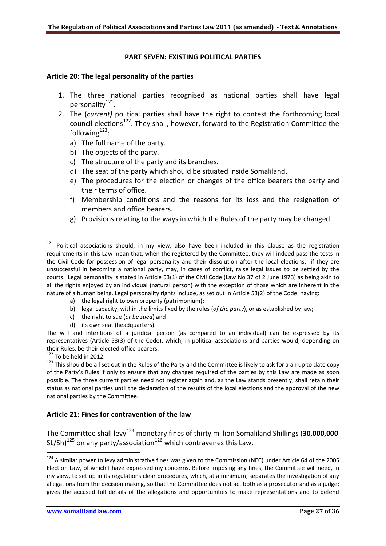## **PART SEVEN: EXISTING POLITICAL PARTIES**

#### <span id="page-26-4"></span>**Article 20: The legal personality of the parties**

- 1. The three national parties recognised as national parties shall have legal personality<sup>[121](#page-26-0)</sup>.
- <span id="page-26-5"></span>2. The (*current)* political parties shall have the right to contest the forthcoming local council elections<sup>[122](#page-26-1)</sup>. They shall, however, forward to the Registration Committee the following $^{123}$  $^{123}$  $^{123}$ :
	- a) The full name of the party.
	- b) The objects of the party.
	- c) The structure of the party and its branches.
	- d) The seat of the party which should be situated inside Somaliland.
	- e) The procedures for the election or changes of the office bearers the party and their terms of office.
	- f) Membership conditions and the reasons for its loss and the resignation of members and office bearers.
	- g) Provisions relating to the ways in which the Rules of the party may be changed.

- a) the legal right to own property (patrimonium);
- b) legal capacity, within the limits fixed by the rules (*of the party*), or as established by law;
- c) the right to sue (*or be sued*) and
- d) its own seat (headquarters).

The will and intentions of a juridical person (as compared to an individual) can be expressed by its representatives (Article 53(3) of the Code), which, in political associations and parties would, depending on their Rules, be their elected office bearers.<br><sup>122</sup> To be held in 2012.

1

1

<span id="page-26-2"></span><span id="page-26-1"></span> $123$  This should be all set out in the Rules of the Party and the Committee is likely to ask for a an up to date copy of the Party's Rules if only to ensure that any changes required of the parties by this Law are made as soon possible. The three current parties need not register again and, as the Law stands presently, shall retain their status as national parties until the declaration of the results of the local elections and the approval of the new national parties by the Committee.

# **Article 21: Fines for contravention of the law**

The Committee shall levy<sup>[124](#page-26-3)</sup> monetary fines of thirty million Somaliland Shillings (30,000,000 SL/Sh)<sup>[125](#page-26-4)</sup> on any party/association<sup>[126](#page-26-5)</sup> which contravenes this Law.

<span id="page-26-0"></span><sup>&</sup>lt;sup>121</sup> Political associations should, in my view, also have been included in this Clause as the registration requirements in this Law mean that, when the registered by the Committee, they will indeed pass the tests in the Civil Code for possession of legal personality and their dissolution after the local elections, if they are unsuccessful in becoming a national party, may, in cases of conflict, raise legal issues to be settled by the courts. Legal personality is stated in Article 53(1) of the Civil Code (Law No 37 of 2 June 1973) as being akin to all the rights enjoyed by an individual (natural person) with the exception of those which are inherent in the nature of a human being. Legal personality rights include, as set out in Article 53(2) of the Code, having:

<span id="page-26-3"></span> $124$  A similar power to levy administrative fines was given to the Commission (NEC) under Article 64 of the 2005 Election Law, of which I have expressed my concerns. Before imposing any fines, the Committee will need, in my view, to set up in its regulations clear procedures, which, at a minimum, separates the investigation of any allegations from the decision making, so that the Committee does not act both as a prosecutor and as a judge; gives the accused full details of the allegations and opportunities to make representations and to defend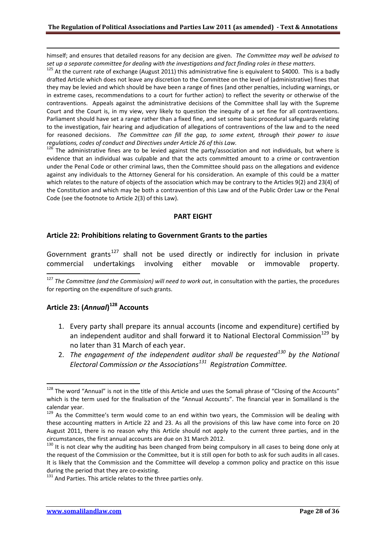himself; and ensures that detailed reasons for any decision are given. *The Committee may well be advised to* 

set up a separate committee for dealing with the investigations and fact finding roles in these matters.<br><sup>125</sup> At the current rate of exchange (August 2011) this administrative fine is equivalent to \$4000. This is a badly drafted Article which does not leave any discretion to the Committee on the level of (administrative) fines that they may be levied and which should be have been a range of fines (and other penalties, including warnings, or in extreme cases, recommendations to a court for further action) to reflect the severity or otherwise of the contraventions. Appeals against the administrative decisions of the Committee shall lay with the Supreme Court and the Court is, in my view, very likely to question the inequity of a set fine for all contraventions. Parliament should have set a range rather than a fixed fine, and set some basic procedural safeguards relating to the investigation, fair hearing and adjudication of allegations of contraventions of the law and to the need for reasoned decisions. *The Committee can fill the gap, to some extent, through their power to issue regulations, codes of conduct and Directives under Article 26 of this Law.*

 $126$  The administrative fines are to be levied against the party/association and not individuals, but where is evidence that an individual was culpable and that the acts committed amount to a crime or contravention under the Penal Code or other criminal laws, then the Committee should pass on the allegations and evidence against any individuals to the Attorney General for his consideration. An example of this could be a matter which relates to the nature of objects of the association which may be contrary to the Articles 9(2) and 23(4) of the Constitution and which may be both a contravention of this Law and of the Public Order Law or the Penal Code (see the footnote to Article 2(3) of this Law).

#### **PART EIGHT**

#### **Article 22: Prohibitions relating to Government Grants to the parties**

Government grants<sup>[127](#page-27-0)</sup> shall not be used directly or indirectly for inclusion in private commercial undertakings involving either movable or immovable property.

<span id="page-27-0"></span><sup>127</sup> The Committee (and the Commission) will need to work out, in consultation with the parties, the procedures for reporting on the expenditure of such grants.

# **Article 23: (***Annual***) [128](#page-27-1) Accounts**

1

1

- 1. Every party shall prepare its annual accounts (income and expenditure) certified by an independent auditor and shall forward it to National Electoral Commission<sup>[129](#page-27-2)</sup> by no later than 31 March of each year.
- 2. *The engagement of the independent auditor shall be requested[130](#page-27-3) by the National Electoral Commission or the Associations[131](#page-27-4) Registration Committee.*

<span id="page-27-1"></span><sup>&</sup>lt;sup>128</sup> The word "Annual" is not in the title of this Article and uses the Somali phrase of "Closing of the Accounts" which is the term used for the finalisation of the "Annual Accounts". The financial year in Somaliland is the calendar year.

<span id="page-27-2"></span><sup>&</sup>lt;sup>129</sup> As the Committee's term would come to an end within two years, the Commission will be dealing with these accounting matters in Article 22 and 23. As all the provisions of this law have come into force on 20 August 2011, there is no reason why this Article should not apply to the current three parties, and in the circumstances, the first annual accounts are due on 31 March 2012.

<span id="page-27-3"></span><sup>&</sup>lt;sup>130</sup> It is not clear why the auditing has been changed from being compulsory in all cases to being done only at the request of the Commission or the Committee, but it is still open for both to ask for such audits in all cases. It is likely that the Commission and the Committee will develop a common policy and practice on this issue during the period that they are co-existing.<br><sup>131</sup> And Parties. This article relates to the three parties only.

<span id="page-27-4"></span>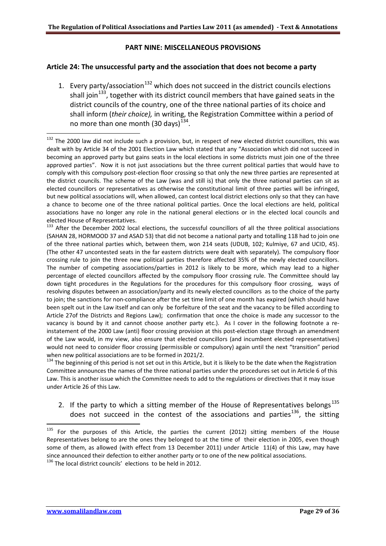## **PART NINE: MISCELLANEOUS PROVISIONS**

## **Article 24: The unsuccessful party and the association that does not become a party**

1. Every party/association<sup>[132](#page-28-0)</sup> which does not succeed in the district councils elections shall join<sup>133</sup>, together with its district council members that have gained seats in the district councils of the country, one of the three national parties of its choice and shall inform (*their choice),* in writing, the Registration Committee within a period of no more than one month  $(30 \text{ days})^{134}$ .

<span id="page-28-1"></span><sup>133</sup> After the December 2002 local elections, the successful councillors of all the three political associations (SAHAN 28, HORMOOD 37 and ASAD 53) that did not become a national party and totalling 118 had to join one of the three national parties which, between them, won 214 seats (UDUB, 102; Kulmiye, 67 and UCID, 45). (The other 47 uncontested seats in the far eastern districts were dealt with separately). The compulsory floor crossing rule to join the three new political parties therefore affected 35% of the newly elected councillors. The number of competing associations/parties in 2012 is likely to be more, which may lead to a higher percentage of elected councillors affected by the compulsory floor crossing rule. The Committee should lay down tight procedures in the Regulations for the procedures for this compulsory floor crossing, ways of resolving disputes between an association/party and its newly elected councillors as to the choice of the party to join; the sanctions for non-compliance after the set time limit of one month has expired (which should have been spelt out in the Law itself and can only be forfeiture of the seat and the vacancy to be filled according to Article 27of the Districts and Regions Law); confirmation that once the choice is made any successor to the vacancy is bound by it and cannot choose another party etc.). As I cover in the following footnote a reinstatement of the 2000 Law (anti) floor crossing provision at this post-election stage through an amendment of the Law would, in my view, also ensure that elected councillors (and incumbent elected representatives) would not need to consider floor crossing (permissible or compulsory) again until the next "transition" period when new political associations are to be formed in 2021/2.<br><sup>134</sup> The beginning of this period is not set out in this Article, but it is likely to be the date when the Registration

<span id="page-28-2"></span>Committee announces the names of the three national parties under the procedures set out in Article 6 of this Law. This is another issue which the Committee needs to add to the regulations or directives that it may issue under Article 26 of this Law.

2. If the party to which a sitting member of the House of Representatives belongs $^{135}$  $^{135}$  $^{135}$ does not succeed in the contest of the associations and parties $^{136}$  $^{136}$  $^{136}$ , the sitting

1

<span id="page-28-0"></span> $132$  The 2000 law did not include such a provision, but, in respect of new elected district councillors, this was dealt with by Article 34 of the 2001 Election Law which stated that any "Association which did not succeed in becoming an approved party but gains seats in the local elections in some districts must join one of the three approved parties". Now it is not just associations but the three current political parties that would have to comply with this compulsory post-election floor crossing so that only the new three parties are represented at the district councils. The scheme of the Law (was and still is) that only the three national parties can sit as elected councillors or representatives as otherwise the constitutional limit of three parties will be infringed, but new political associations will, when allowed, can contest local district elections only so that they can have a chance to become one of the three national political parties. Once the local elections are held, political associations have no longer any role in the national general elections or in the elected local councils and elected House of Representatives.

<span id="page-28-3"></span><sup>&</sup>lt;sup>135</sup> For the purposes of this Article, the parties the current (2012) sitting members of the House Representatives belong to are the ones they belonged to at the time of their election in 2005, even though some of them, as allowed (with effect from 13 December 2011) under Article 11(4) of this Law, may have since announced their defection to either another party or to one of the new political associations.

<span id="page-28-4"></span><sup>&</sup>lt;sup>136</sup> The local district councils' elections to be held in 2012.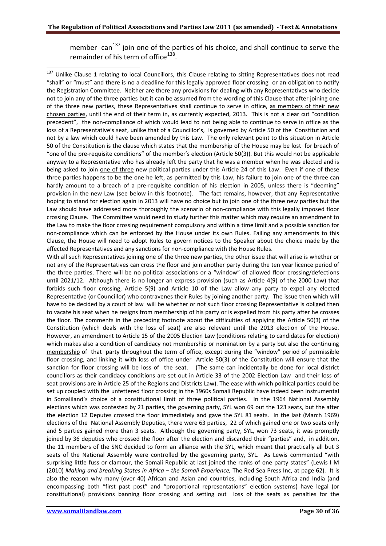member  $can^{137}$  $can^{137}$  $can^{137}$  join one of the parties of his choice, and shall continue to serve the remainder of his term of office $^{138}$  $^{138}$  $^{138}$ .

<span id="page-29-0"></span><sup>137</sup> Unlike Clause 1 relating to local Councillors, this Clause relating to sitting Representatives does not read "shall" or "must" and there is no a deadline for this legally approved floor crossing or an obligation to notify the Registration Committee. Neither are there any provisions for dealing with any Representatives who decide not to join any of the three parties but it can be assumed from the wording of this Clause that after joining one of the three new parties, these Representatives shall continue to serve in office, as members of their new chosen parties, until the end of their term in, as currently expected, 2013. This is not a clear cut "condition precedent", the non-compliance of which would lead to not being able to continue to serve in office as the loss of a Representative's seat, unlike that of a Councillor's, is governed by Article 50 of the Constitution and not by a law which could have been amended by this Law. The only relevant point to this situation in Article 50 of the Constitution is the clause which states that the membership of the House may be lost for breach of "one of the pre-requisite conditions" of the member's election (Article 50(3)). But this would not be applicable anyway to a Representative who has already left the party that he was a member when he was elected and is being asked to join one of three new political parties under this Article 24 of this Law. Even if one of these three parties happens to be the one he left, as permitted by this Law, his failure to join one of the three can hardly amount to a breach of a pre-requisite condition of his election in 2005, unless there is "deeming" provision in the new Law (see below in this footnote). The fact remains, however, that any Representative hoping to stand for election again in 2013 will have no choice but to join one of the three new parties but the Law should have addressed more thoroughly the scenario of non-compliance with this legally imposed floor crossing Clause. The Committee would need to study further this matter which may require an amendment to the Law to make the floor crossing requirement compulsory and within a time limit and a possible sanction for non-compliance which can be enforced by the House under its own Rules. Failing any amendments to this Clause, the House will need to adopt Rules to govern notices to the Speaker about the choice made by the affected Representatives and any sanctions for non-compliance with the House Rules.

<span id="page-29-1"></span>With all such Representatives joining one of the three new parties, the other issue that will arise is whether or not any of the Representatives can cross the floor and join another party during the ten year licence period of the three parties. There will be no political associations or a "window" of allowed floor crossing/defections until 2021/12. Although there is no longer an express provision (such as Article 4(9) of the 2000 Law) that forbids such floor crossing, Article 5(9) and Article 10 of the Law allow any party to expel any elected Representative (or Councillor) who contravenes their Rules by joining another party. The issue then which will have to be decided by a court of law will be whether or not such floor crossing Representative is obliged then to vacate his seat when he resigns from membership of his party or is expelled from his party after he crosses the floor. The comments in the preceding footnote about the difficulties of applying the Article 50(3) of the Constitution (which deals with the loss of seat) are also relevant until the 2013 election of the House. However, an amendment to Article 15 of the 2005 Election Law (conditions relating to candidates for election) which makes also a condition of candidacy not membership or nomination by a party but also the continuing membership of that party throughout the term of office, except during the "window" period of permissible floor crossing, and linking it with loss of office under Article 50(3) of the Constitution will ensure that the sanction for floor crossing will be loss of the seat. (The same can incidentally be done for local district councillors as their candidacy conditions are set out in Article 33 of the 2002 Election Law and their loss of seat provisions are in Article 25 of the Regions and Districts Law). The ease with which political parties could be set up coupled with the unfettered floor crossing in the 1960s Somali Republic have indeed been instrumental in Somaliland's choice of a constitutional limit of three political parties. In the 1964 National Assembly elections which was contested by 21 parties, the governing party, SYL won 69 out the 123 seats, but the after the election 12 Deputes crossed the floor immediately and gave the SYL 81 seats. In the last (March 1969) elections of the National Assembly Deputies, there were 63 parties, 22 of which gained one or two seats only and 5 parties gained more than 3 seats. Although the governing party, SYL, won 73 seats, it was promptly joined by 36 deputies who crossed the floor after the election and discarded their "parties" and, in addition, the 11 members of the SNC decided to form an alliance with the SYL, which meant that practically all but 3 seats of the National Assembly were controlled by the governing party, SYL. As Lewis commented "with surprising little fuss or clamour, the Somali Republic at last joined the ranks of one party states" (Lewis I M (2010) *Making and breaking States in Africa – the Somali Experience,* The Red Sea Press Inc, at page 62). It is also the reason why many (over 40) African and Asian and countries, including South Africa and India (and encompassing both "first past post" and "proportional representations" election systems) have legal (or constitutional) provisions banning floor crossing and setting out loss of the seats as penalties for the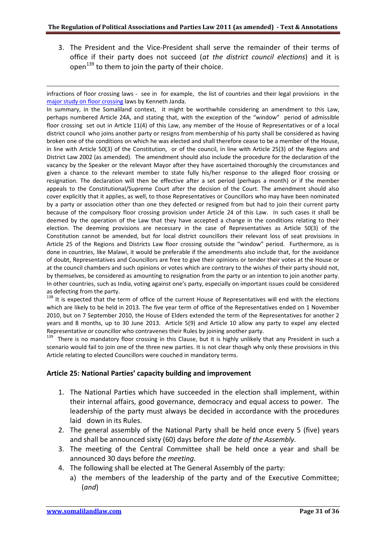3. The President and the Vice-President shall serve the remainder of their terms of office if their party does not succeed (*at the district council elections*) and it is open<sup>[139](#page-30-0)</sup> to them to join the party of their choice.

infractions of floor crossing laws - see in for example, the list of countries and their legal provisions in the [major study on floor crossing](http://janda.org/bio/parties/papers/Janda%20(2009b).pdf) laws by Kenneth Janda.

In summary, in the Somaliland context, it might be worthwhile considering an amendment to this Law, perhaps numbered Article 24A, and stating that, with the exception of the "window" period of admissible floor crossing set out in Article 11(4) of this Law, any member of the House of Representatives or of a local district council who joins another party or resigns from membership of his party shall be considered as having broken one of the conditions on which he was elected and shall therefore cease to be a member of the House, in line with Article 50(3) of the Constitution, or of the council, in line with Article 25(3) of the Regions and District Law 2002 (as amended). The amendment should also include the procedure for the declaration of the vacancy by the Speaker or the relevant Mayor after they have ascertained thoroughly the circumstances and given a chance to the relevant member to state fully his/her response to the alleged floor crossing or resignation. The declaration will then be effective after a set period (perhaps a month) or if the member appeals to the Constitutional/Supreme Court after the decision of the Court. The amendment should also cover explicitly that it applies, as well, to those Representatives or Councillors who may have been nominated by a party or association other than one they defected or resigned from but had to join their current party because of the compulsory floor crossing provision under Article 24 of this Law. In such cases it shall be deemed by the operation of the Law that they have accepted a change in the conditions relating to their election. The deeming provisions are necessary in the case of Representatives as Article 50(3) of the Constitution cannot be amended, but for local district councillors their relevant loss of seat provisions in Article 25 of the Regions and Districts Law floor crossing outside the "window" period. Furthermore, as is done in countries, like Malawi, it would be preferable if the amendments also include that, for the avoidance of doubt, Representatives and Councillors are free to give their opinions or tender their votes at the House or at the council chambers and such opinions or votes which are contrary to the wishes of their party should not, by themselves, be considered as amounting to resignation from the party or an intention to join another party. In other countries, such as India, voting against one's party, especially on important issues could be considered as defecting from the party.

<sup>138</sup> It is expected that the term of office of the current House of Representatives will end with the elections which are likely to be held in 2013. The five year term of office of the Representatives ended on 1 November 2010, but on 7 September 2010, the House of Elders extended the term of the Representatives for another 2 years and 8 months, up to 30 June 2013. Article 5(9) and Article 10 allow any party to expel any elected

<span id="page-30-0"></span>Representative or councillor who contravenes their Rules by joining another party.<br><sup>139</sup> There is no mandatory floor crossing in this Clause, but it is highly unlikely that any President in such a scenario would fail to join one of the three new parties. It is not clear though why only these provisions in this Article relating to elected Councillors were couched in mandatory terms.

## **Article 25: National Parties' capacity building and improvement**

- 1. The National Parties which have succeeded in the election shall implement, within their internal affairs, good governance, democracy and equal access to power. The leadership of the party must always be decided in accordance with the procedures laid down in its Rules.
- 2. The general assembly of the National Party shall be held once every 5 (five) years and shall be announced sixty (60) days before *the date of the Assembly.*
- 3. The meeting of the Central Committee shall be held once a year and shall be announced 30 days before *the meeting.*
- 4. The following shall be elected at The General Assembly of the party:
	- a) the members of the leadership of the party and of the Executive Committee; (*and*)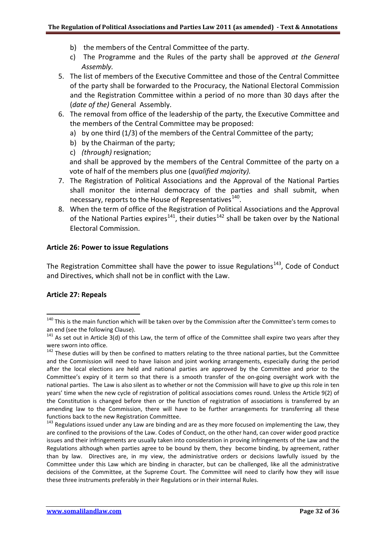- b) the members of the Central Committee of the party.
- c) The Programme and the Rules of the party shall be approved *at the General Assembly.*
- 5. The list of members of the Executive Committee and those of the Central Committee of the party shall be forwarded to the Procuracy, the National Electoral Commission and the Registration Committee within a period of no more than 30 days after the (*date of the)* General Assembly.
- 6. The removal from office of the leadership of the party, the Executive Committee and the members of the Central Committee may be proposed:
	- a) by one third (1/3) of the members of the Central Committee of the party;
	- b) by the Chairman of the party;
	- c) *(through)* resignation;

and shall be approved by the members of the Central Committee of the party on a vote of half of the members plus one (*qualified majority).*

- 7. The Registration of Political Associations and the Approval of the National Parties shall monitor the internal democracy of the parties and shall submit, when necessary, reports to the House of Representatives<sup>[140](#page-31-0)</sup>.
- 8. When the term of office of the Registration of Political Associations and the Approval of the National Parties expires<sup>[141](#page-31-1)</sup>, their duties<sup>[142](#page-31-2)</sup> shall be taken over by the National Electoral Commission.

#### **Article 26: Power to issue Regulations**

The Registration Committee shall have the power to issue Regulations<sup>143</sup>, Code of Conduct and Directives, which shall not be in conflict with the Law.

## **Article 27: Repeals**

<span id="page-31-0"></span><sup>&</sup>lt;sup>140</sup> This is the main function which will be taken over by the Commission after the Committee's term comes to an end (see the following Clause).

<span id="page-31-1"></span> $141$  As set out in Article 3(d) of this Law, the term of office of the Committee shall expire two years after they

<span id="page-31-2"></span>were sworn into office.<br><sup>142</sup> These duties will by then be confined to matters relating to the three national parties, but the Committee and the Commission will need to have liaison and joint working arrangements, especially during the period after the local elections are held and national parties are approved by the Committee and prior to the Committee's expiry of it term so that there is a smooth transfer of the on-going oversight work with the national parties. The Law is also silent as to whether or not the Commission will have to give up this role in ten years' time when the new cycle of registration of political associations comes round. Unless the Article 9(2) of the Constitution is changed before then or the function of registration of associations is transferred by an amending law to the Commission, there will have to be further arrangements for transferring all these functions back to the new Registration Committee.

<span id="page-31-3"></span><sup>&</sup>lt;sup>143</sup> Regulations issued under any Law are binding and are as they more focused on implementing the Law, they are confined to the provisions of the Law. Codes of Conduct, on the other hand, can cover wider good practice issues and their infringements are usually taken into consideration in proving infringements of the Law and the Regulations although when parties agree to be bound by them, they become binding, by agreement, rather than by law. Directives are, in my view, the administrative orders or decisions lawfully issued by the Committee under this Law which are binding in character, but can be challenged, like all the administrative decisions of the Committee, at the Supreme Court. The Committee will need to clarify how they will issue these three instruments preferably in their Regulations or in their internal Rules.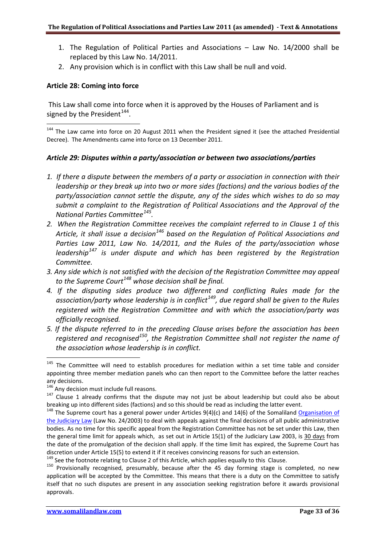- 1. The Regulation of Political Parties and Associations Law No. 14/2000 shall be replaced by this Law No. 14/2011.
- 2. Any provision which is in conflict with this Law shall be null and void.

## **Article 28: Coming into force**

1

1

This Law shall come into force when it is approved by the Houses of Parliament and is signed by the President<sup>144</sup>.

<span id="page-32-0"></span><sup>144</sup> The Law came into force on 20 August 2011 when the President signed it (see the attached Presidential Decree). The Amendments came into force on 13 December 2011.

# *Article 29: Disputes within a party/association or between two associations/parties*

- *1. If there a dispute between the members of a party or association in connection with their leadership or they break up into two or more sides (factions) and the various bodies of the party/association cannot settle the dispute, any of the sides which wishes to do so may submit a complaint to the Registration of Political Associations and the Approval of the National Parties Committee[145](#page-32-1).*
- *2. When the Registration Committee receives the complaint referred to in Clause 1 of this Article, it shall issue a decision[146](#page-32-2) based on the Regulation of Political Associations and Parties Law 2011, Law No. 14/2011, and the Rules of the party/association whose leadership[147](#page-32-3) is under dispute and which has been registered by the Registration Committee.*
- *3. Any side which is not satisfied with the decision of the Registration Committee may appeal to the Supreme Court[148](#page-32-4) whose decision shall be final.*
- *4. If the disputing sides produce two different and conflicting Rules made for the association/party whose leadership is in conflict[149,](#page-32-5) due regard shall be given to the Rules registered with the Registration Committee and with which the association/party was officially recognised.*
- *5. If the dispute referred to in the preceding Clause arises before the association has been registered and recognised[150,](#page-32-6) the Registration Committee shall not register the name of the association whose leadership is in conflict.*

<span id="page-32-1"></span><sup>&</sup>lt;sup>145</sup> The Committee will need to establish procedures for mediation within a set time table and consider appointing three member mediation panels who can then report to the Committee before the latter reaches any decisions.<br><sup>146</sup> Any decision must include full reasons.

<span id="page-32-3"></span><span id="page-32-2"></span> $147$  Clause 1 already confirms that the dispute may not just be about leadership but could also be about breaking up into different sides (factions) and so this should be read as including the latter event.

<span id="page-32-4"></span><sup>&</sup>lt;sup>148</sup> The Supreme court has a general power under Articles 9(4)(c) and 14(6) of the Somaliland Organisation of [the Judiciary Law](http://www.somalilandlaw.com/organisation_of_judiciary_law.HTM) (Law No. 24/2003) to deal with appeals against the final decisions of all public administrative bodies. As no time for this specific appeal from the Registration Committee has not be set under this Law, then the general time limit for appeals which, as set out in Article 15(1) of the Judiciary Law 2003, is 30 days from the date of the promulgation of the decision shall apply. If the time limit has expired, the Supreme Court has discretion under Article 15(5) to extend it if it receives convincing reasons for such an extension.<br><sup>149</sup> See the footnote relating to Clause 2 of this Article, which applies equally to this Clause.

<span id="page-32-6"></span><span id="page-32-5"></span> $150$  Provisionally recognised, presumably, because after the 45 day forming stage is completed, no new application will be accepted by the Committee. This means that there is a duty on the Committee to satisfy itself that no such disputes are present in any association seeking registration before it awards provisional approvals.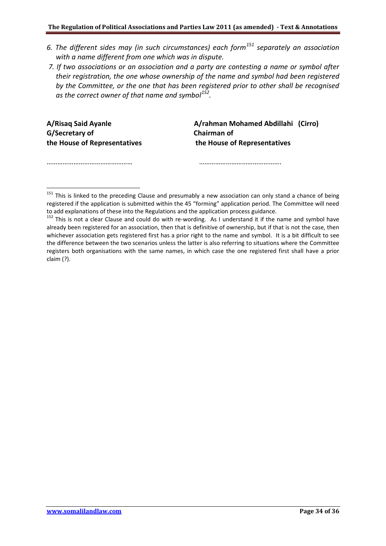- *6. The different sides may (in such circumstances) each form[151](#page-33-0) separately an association with a name different from one which was in dispute.*
- *7. If two associations or an association and a party are contesting a name or symbol after their registration, the one whose ownership of the name and symbol had been registered by the Committee, or the one that has been registered prior to other shall be recognised as the correct owner of that name and symbol[152.](#page-33-1)*

**A/Risaq Said Ayanle G/Secretary of the House of Representatives**

……………………………………………

1

 **A/rahman Mohamed Abdillahi (Cirro) Chairman of the House of Representatives**

……………………………………………

<span id="page-33-0"></span><sup>151</sup> This is linked to the preceding Clause and presumably a new association can only stand a chance of being registered if the application is submitted within the 45 "forming" application period. The Committee will need to add explanations of these into the Regulations and the application process guidance.

<span id="page-33-1"></span><sup>&</sup>lt;sup>152</sup> This is not a clear Clause and could do with re-wording. As I understand it if the name and symbol have already been registered for an association, then that is definitive of ownership, but if that is not the case, then whichever association gets registered first has a prior right to the name and symbol. It is a bit difficult to see the difference between the two scenarios unless the latter is also referring to situations where the Committee registers both organisations with the same names, in which case the one registered first shall have a prior claim (?).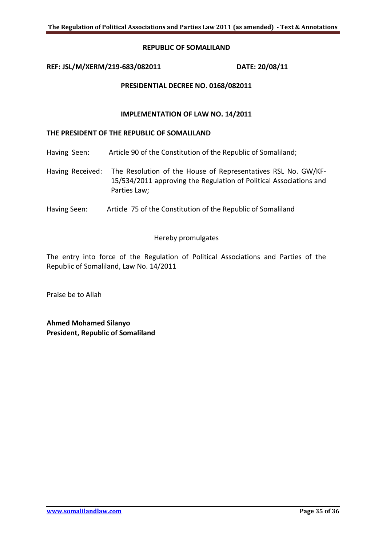#### **REPUBLIC OF SOMALILAND**

#### **REF: JSL/M/XERM/219-683/082011 DATE: 20/08/11**

#### **PRESIDENTIAL DECREE NO. 0168/082011**

#### **IMPLEMENTATION OF LAW NO. 14/2011**

#### **THE PRESIDENT OF THE REPUBLIC OF SOMALILAND**

- Having Seen: Article 90 of the Constitution of the Republic of Somaliland;
- Having Received: The Resolution of the House of Representatives RSL No. GW/KF-15/534/2011 approving the Regulation of Political Associations and Parties Law;
- Having Seen: Article 75 of the Constitution of the Republic of Somaliland

#### Hereby promulgates

The entry into force of the Regulation of Political Associations and Parties of the Republic of Somaliland, Law No. 14/2011

Praise be to Allah

**Ahmed Mohamed Silanyo President, Republic of Somaliland**